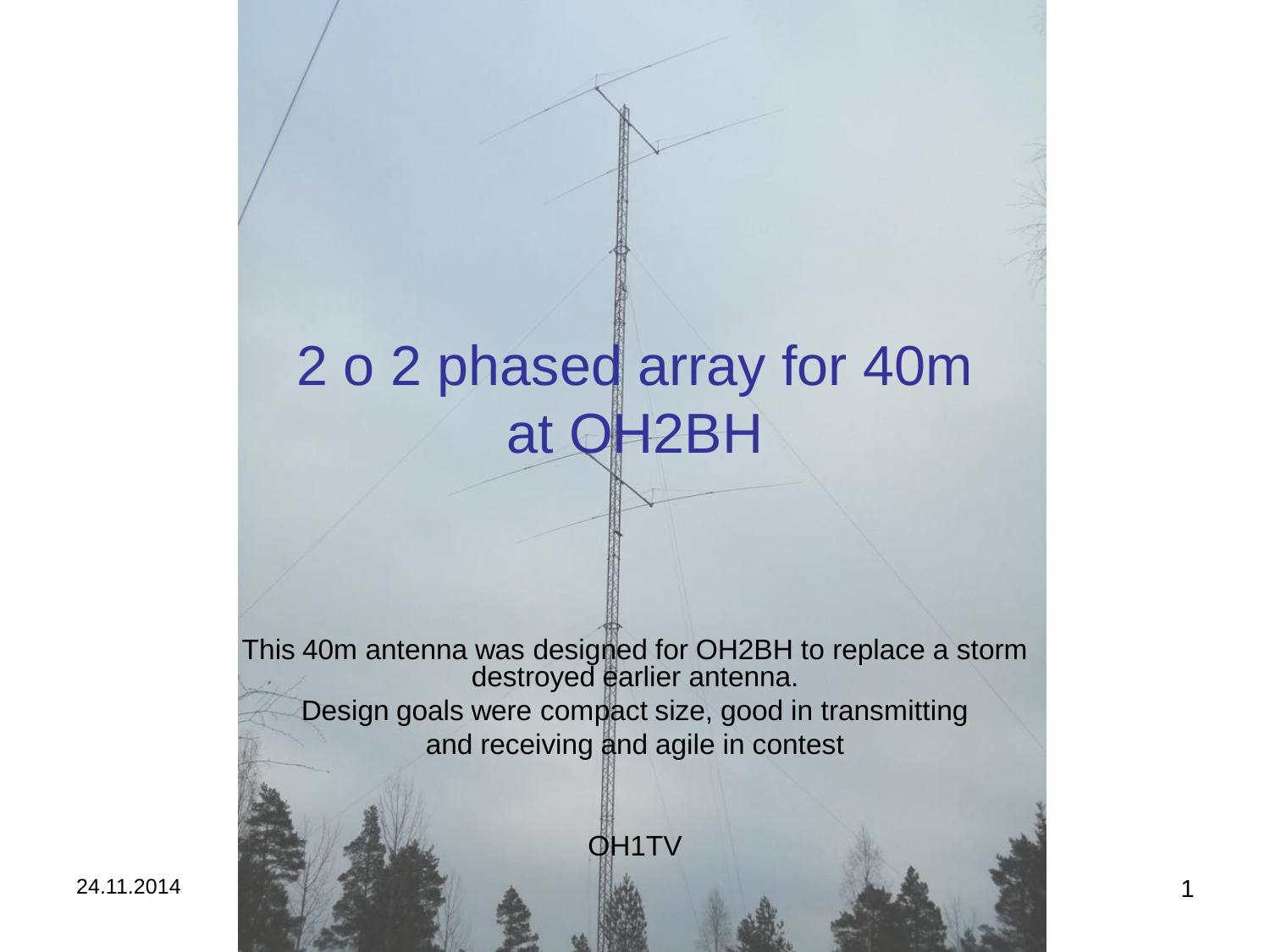# 2 o 2 phased array for 40m at OH2BH

This 40m antenna was designed for OH2BH to replace a storm destroyed earlier antenna. Design goals were compact size, good in transmitting and receiving and agile in contest

OH1TV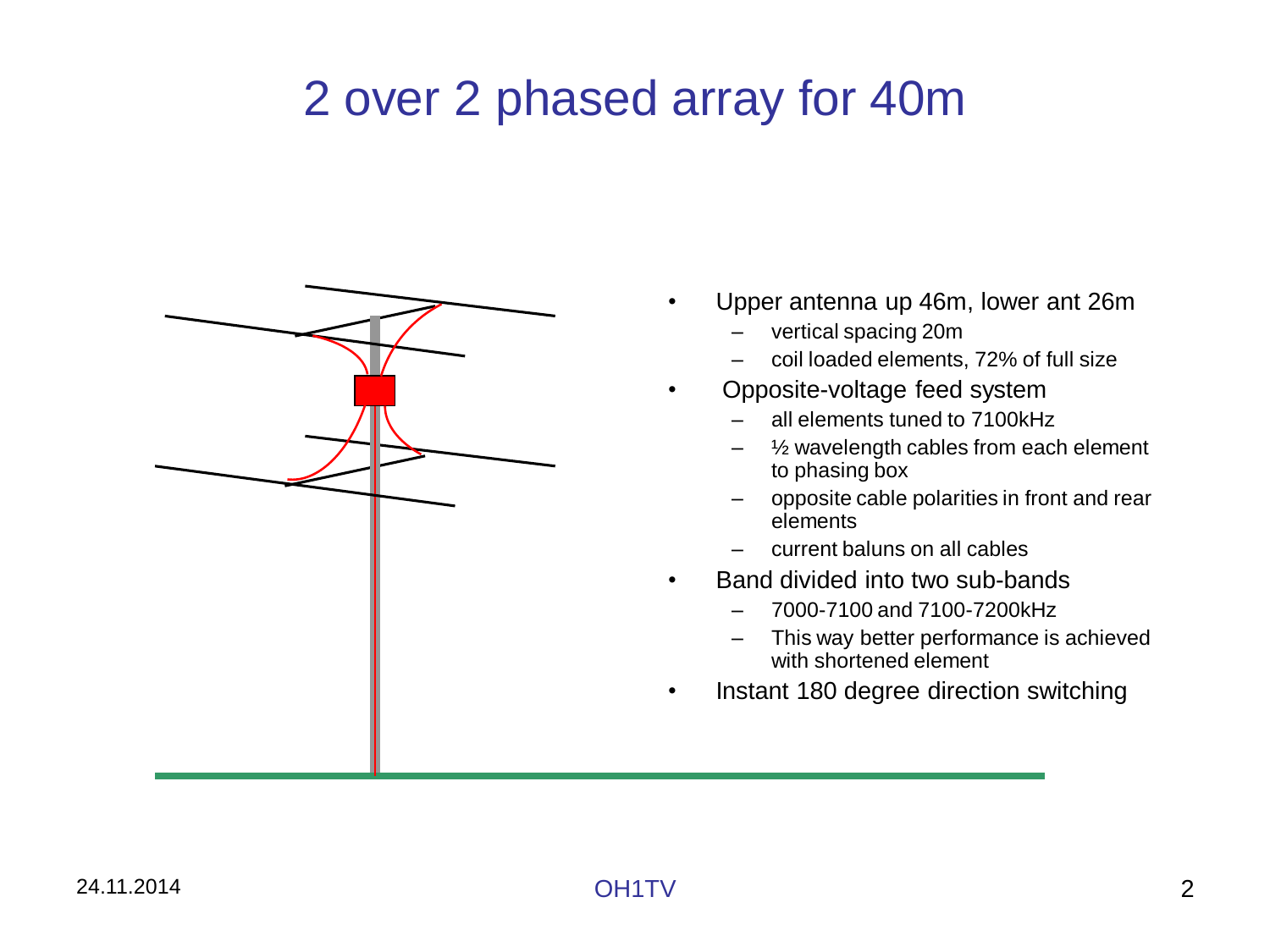## 2 over 2 phased array for 40m



- Upper antenna up 46m, lower ant 26m
	- vertical spacing 20m
	- coil loaded elements, 72% of full size
- Opposite-voltage feed system
	- all elements tuned to 7100kHz
	- $\frac{1}{2}$  wavelength cables from each element to phasing box
	- opposite cable polarities in front and rear elements
	- current baluns on all cables
- Band divided into two sub-bands
	- 7000-7100 and 7100-7200kHz
	- This way better performance is achieved with shortened element
- Instant 180 degree direction switching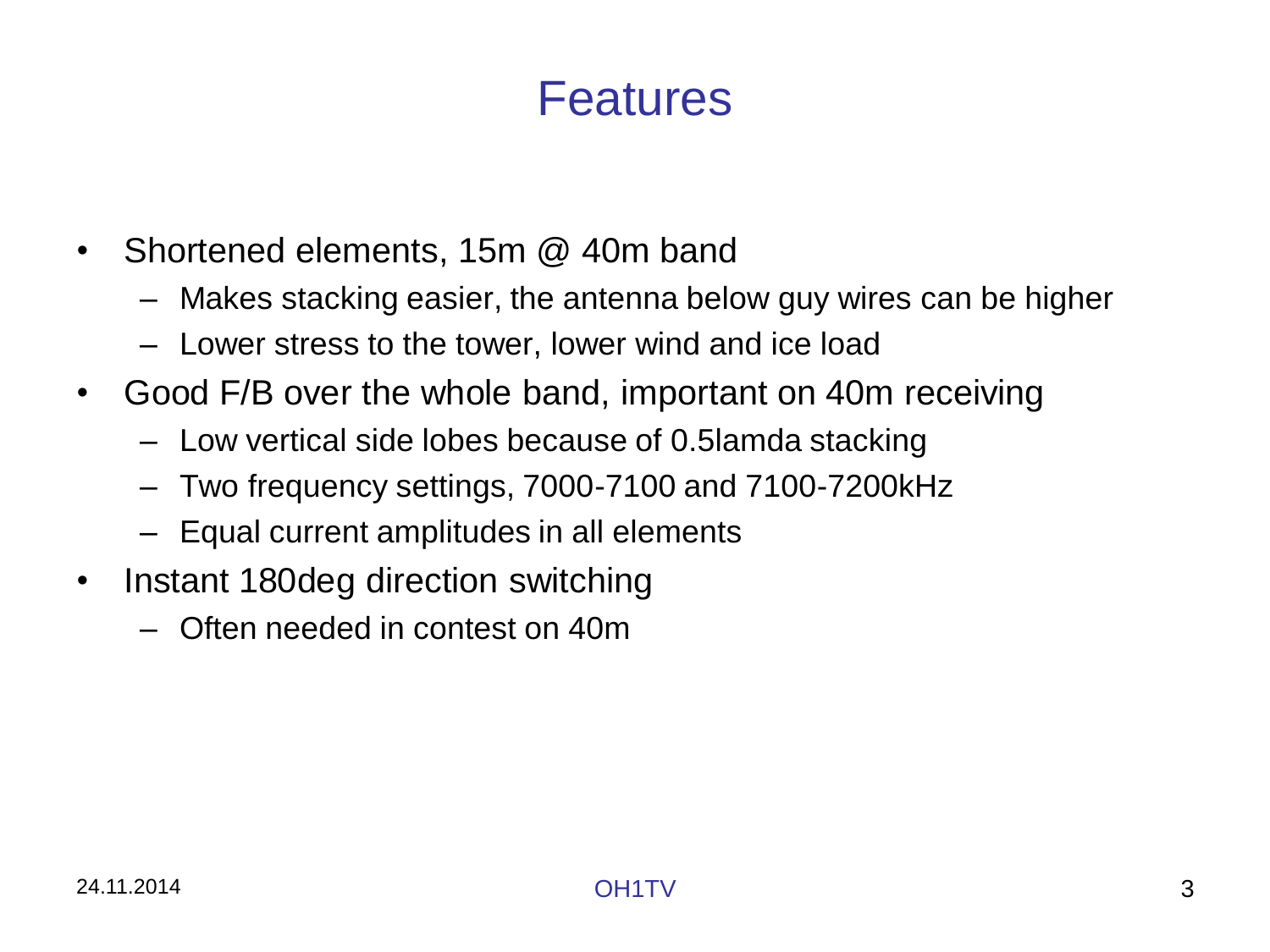## Features

- Shortened elements, 15m @ 40m band
	- Makes stacking easier, the antenna below guy wires can be higher
	- Lower stress to the tower, lower wind and ice load
- Good F/B over the whole band, important on 40m receiving
	- Low vertical side lobes because of 0.5lamda stacking
	- Two frequency settings, 7000-7100 and 7100-7200kHz
	- Equal current amplitudes in all elements
- Instant 180deg direction switching
	- Often needed in contest on 40m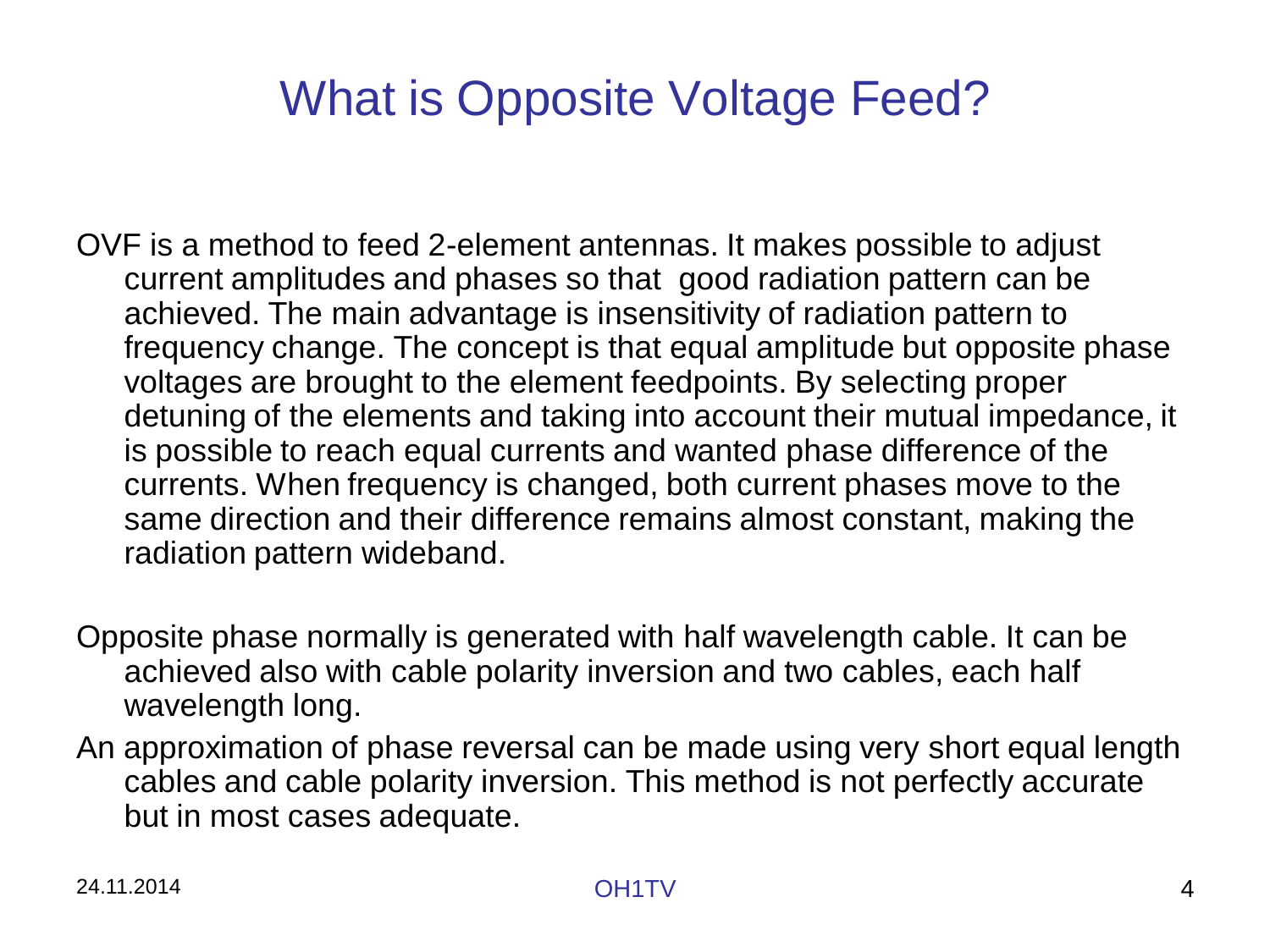## What is Opposite Voltage Feed?

- OVF is a method to feed 2-element antennas. It makes possible to adjust current amplitudes and phases so that good radiation pattern can be achieved. The main advantage is insensitivity of radiation pattern to frequency change. The concept is that equal amplitude but opposite phase voltages are brought to the element feedpoints. By selecting proper detuning of the elements and taking into account their mutual impedance, it is possible to reach equal currents and wanted phase difference of the currents. When frequency is changed, both current phases move to the same direction and their difference remains almost constant, making the radiation pattern wideband.
- Opposite phase normally is generated with half wavelength cable. It can be achieved also with cable polarity inversion and two cables, each half wavelength long.
- An approximation of phase reversal can be made using very short equal length cables and cable polarity inversion. This method is not perfectly accurate but in most cases adequate.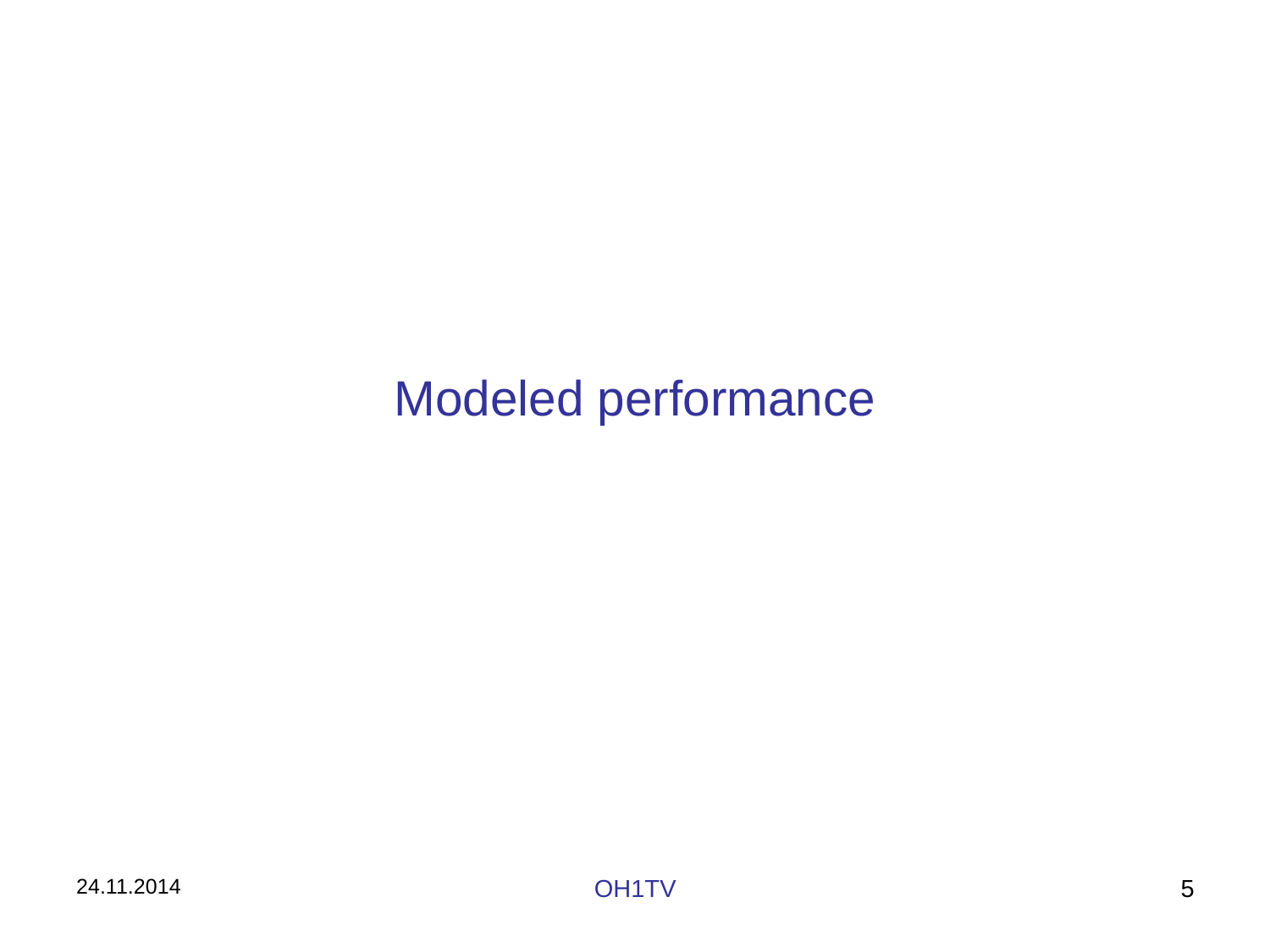## Modeled performance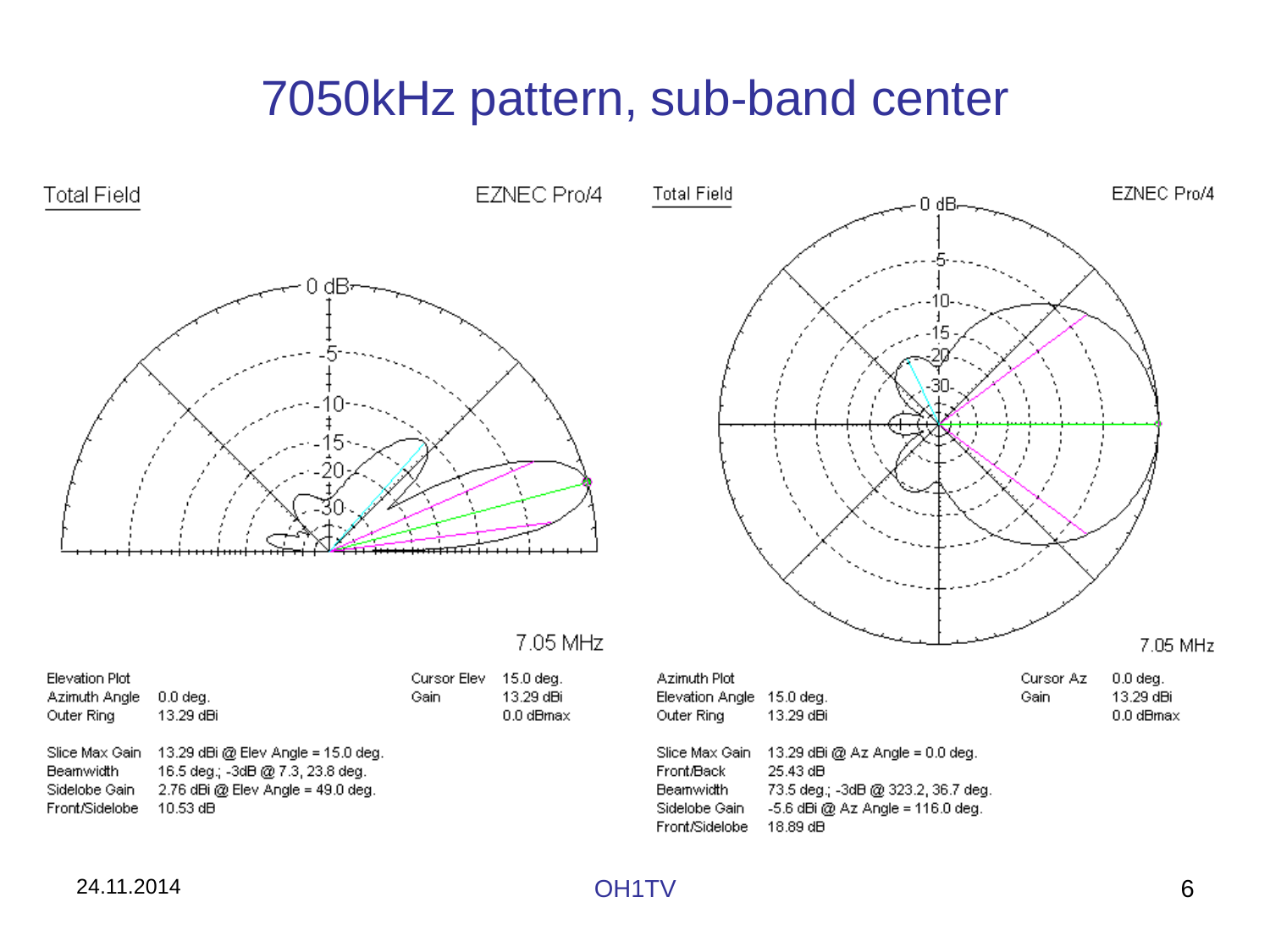## 7050kHz pattern, sub-band center

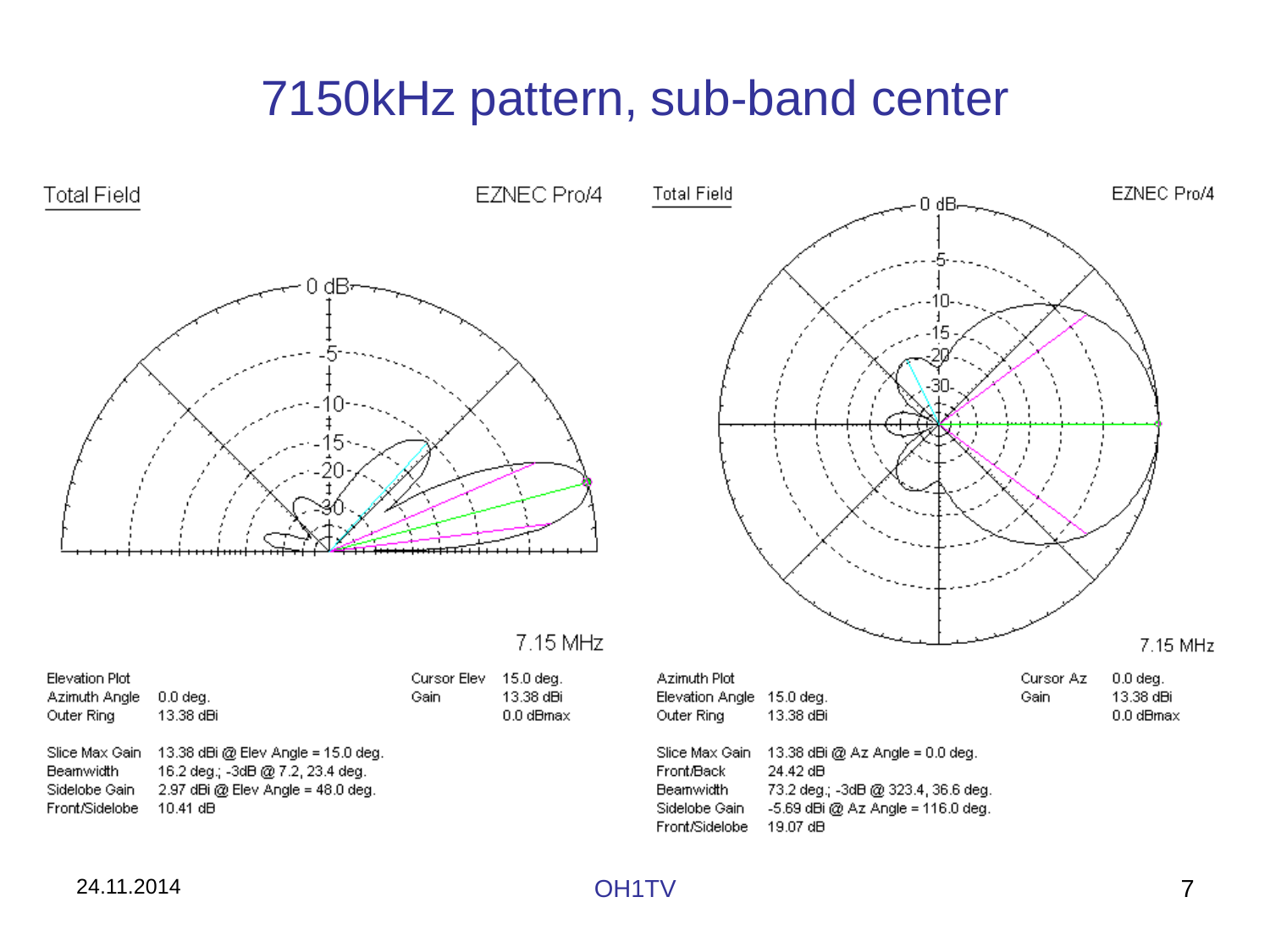## 7150kHz pattern, sub-band center

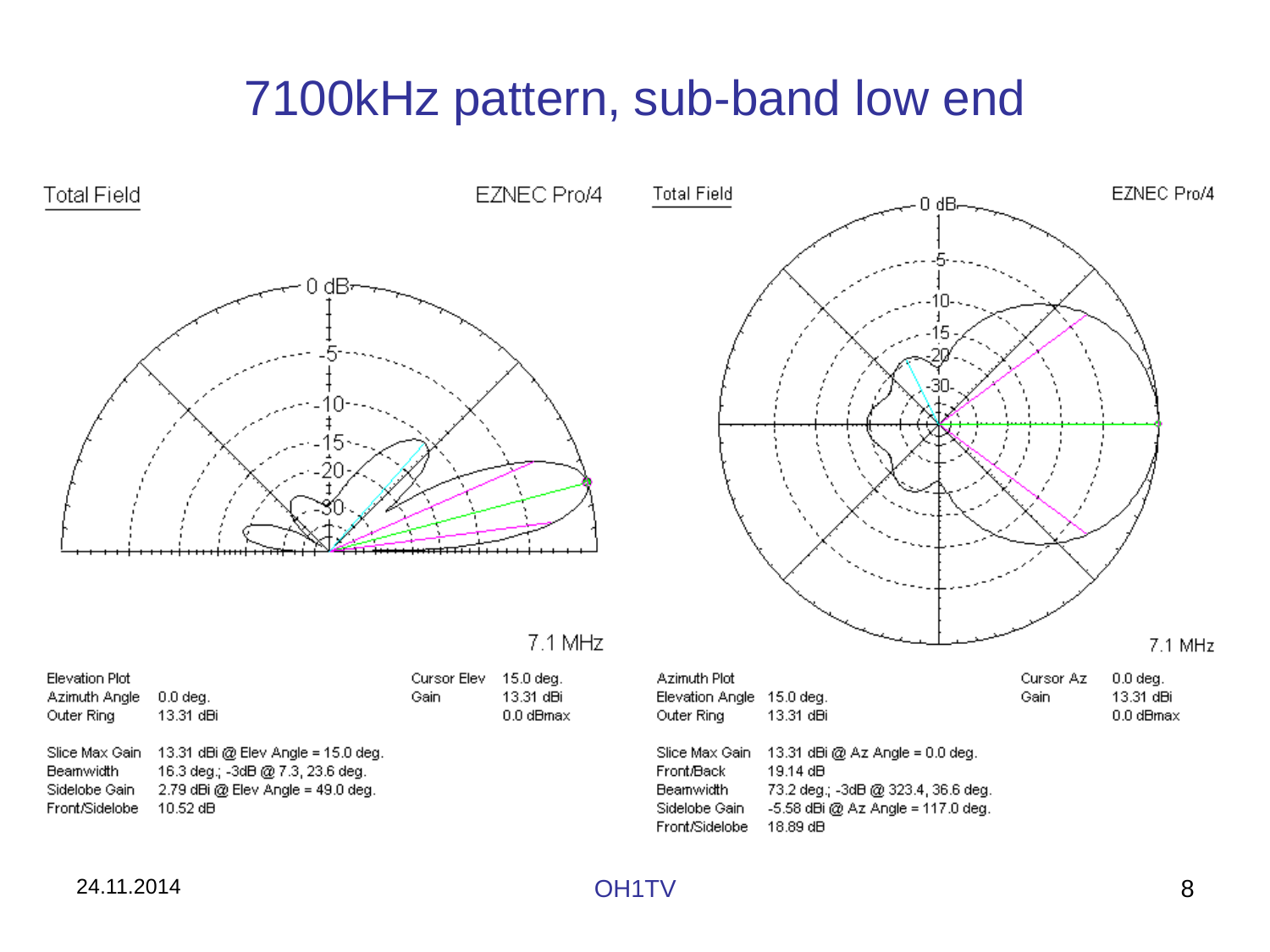## 7100kHz pattern, sub-band low end

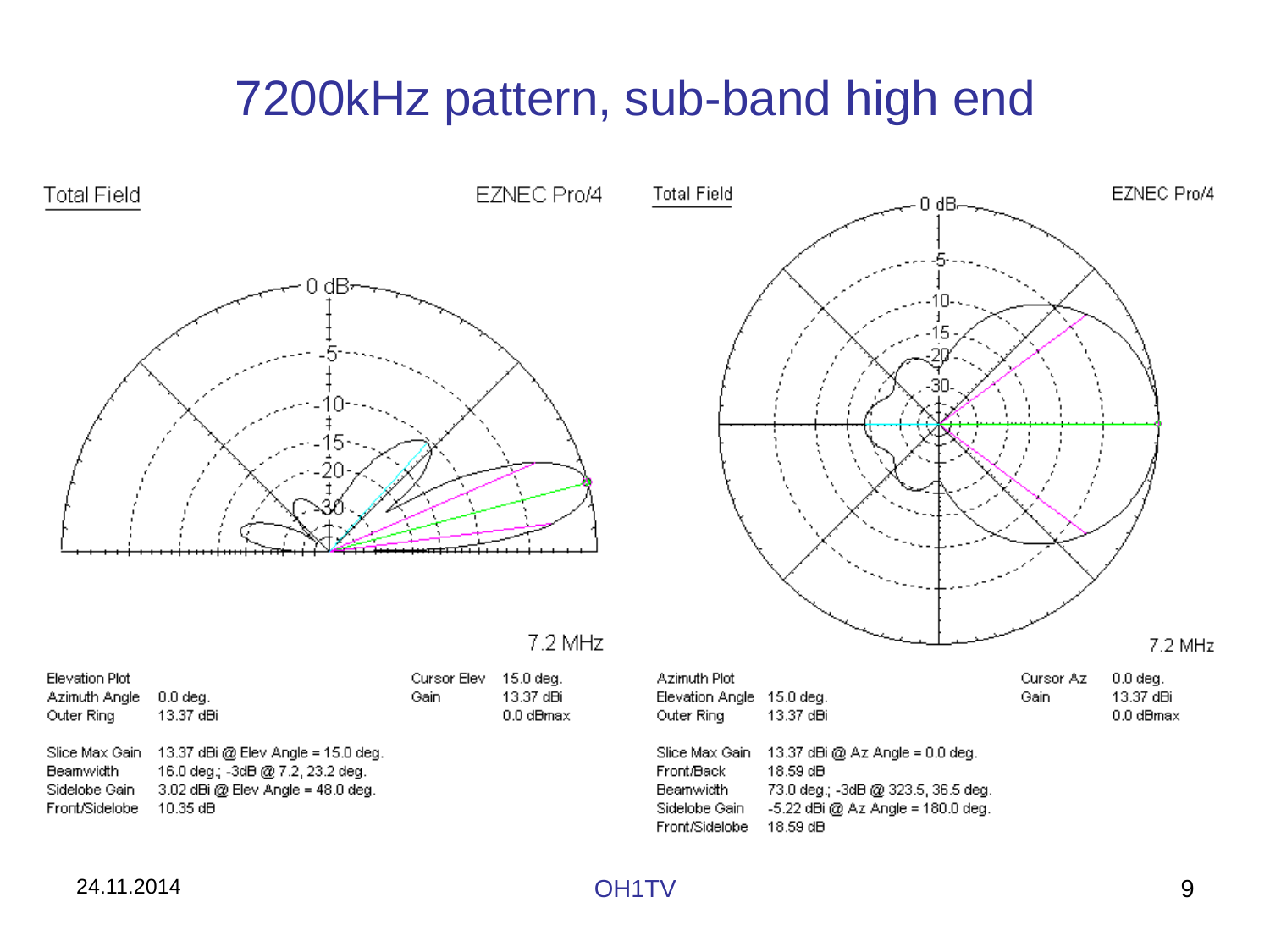## 7200kHz pattern, sub-band high end

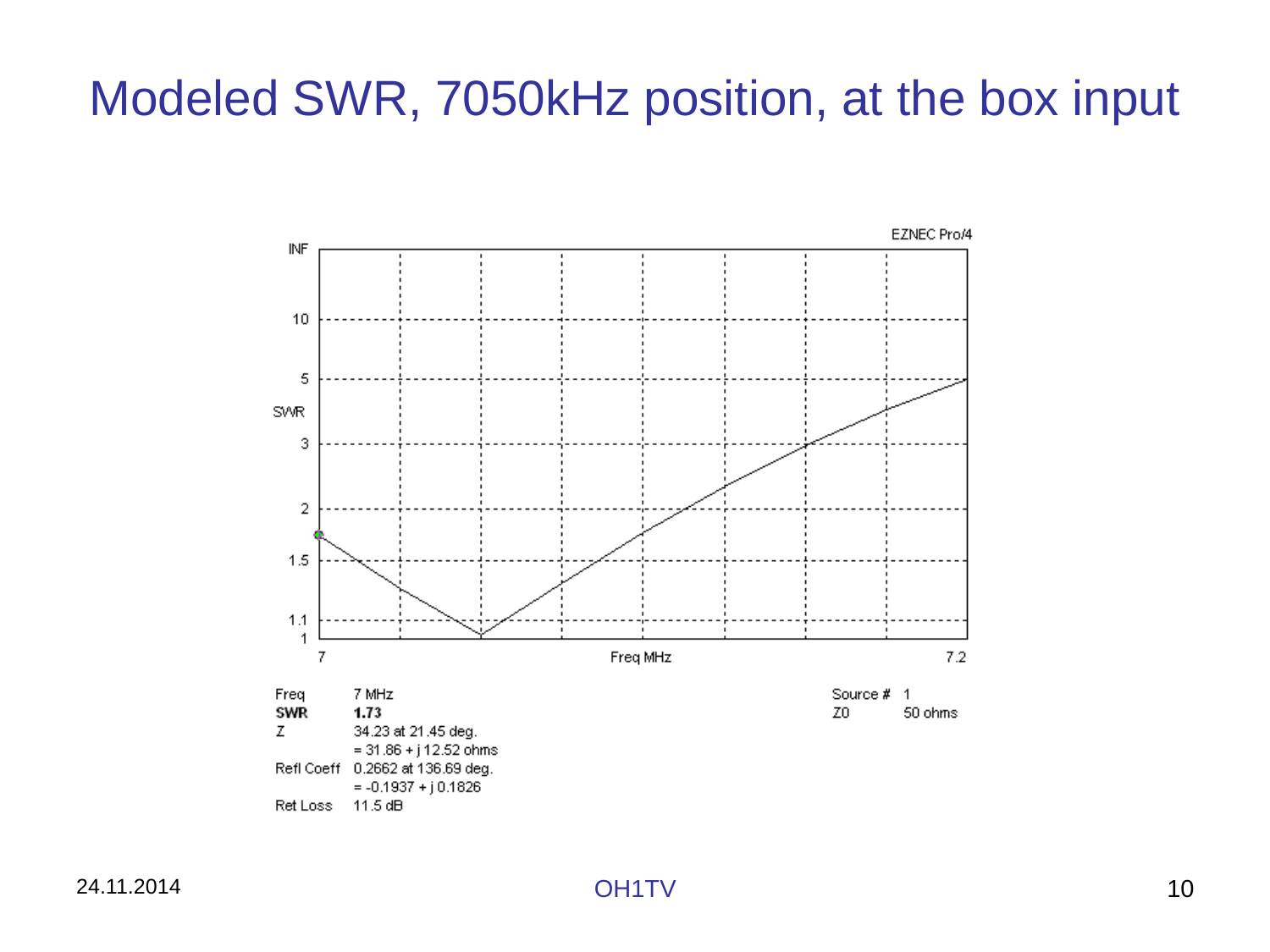## Modeled SWR, 7050kHz position, at the box input

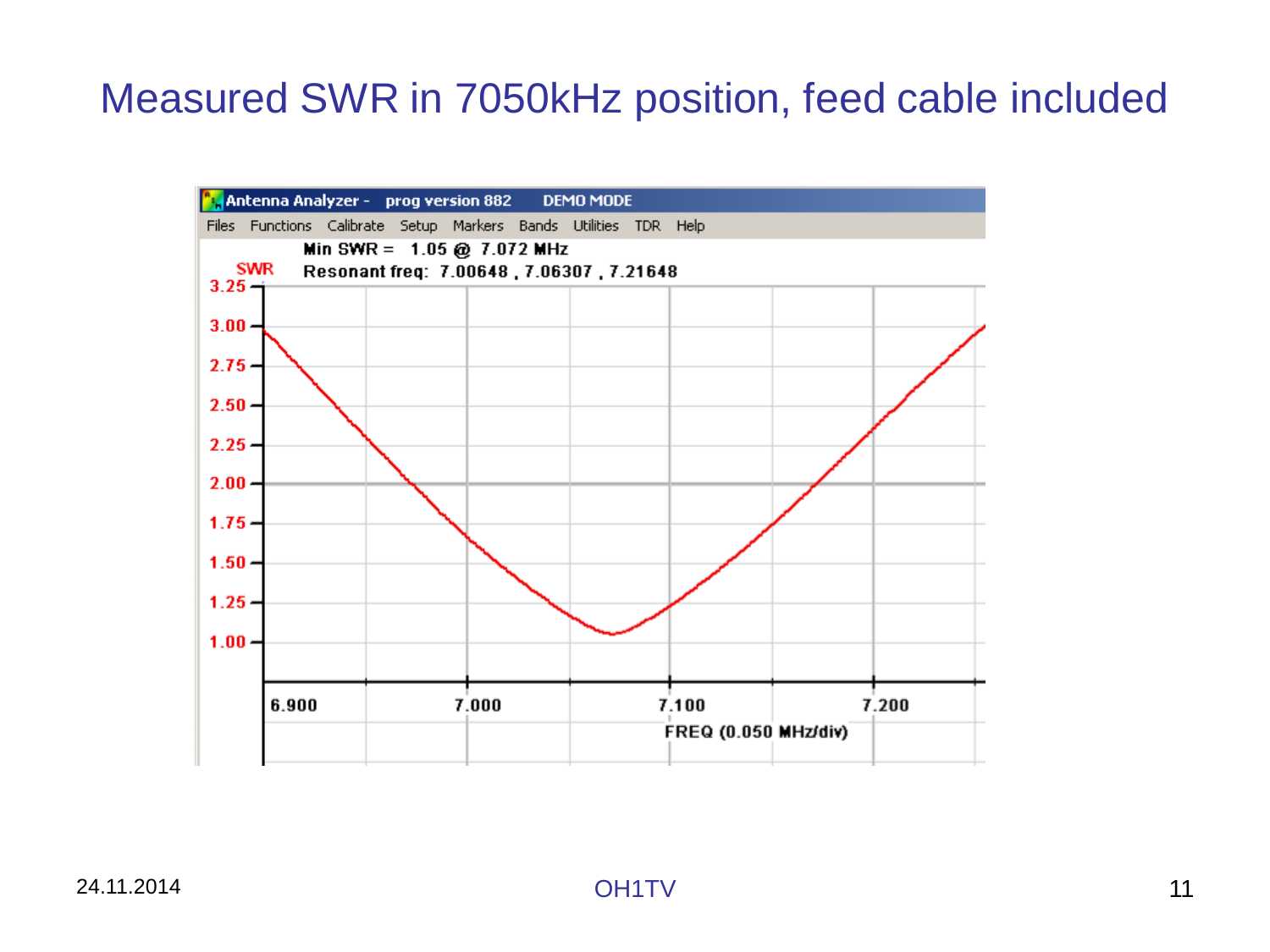## Measured SWR in 7050kHz position, feed cable included

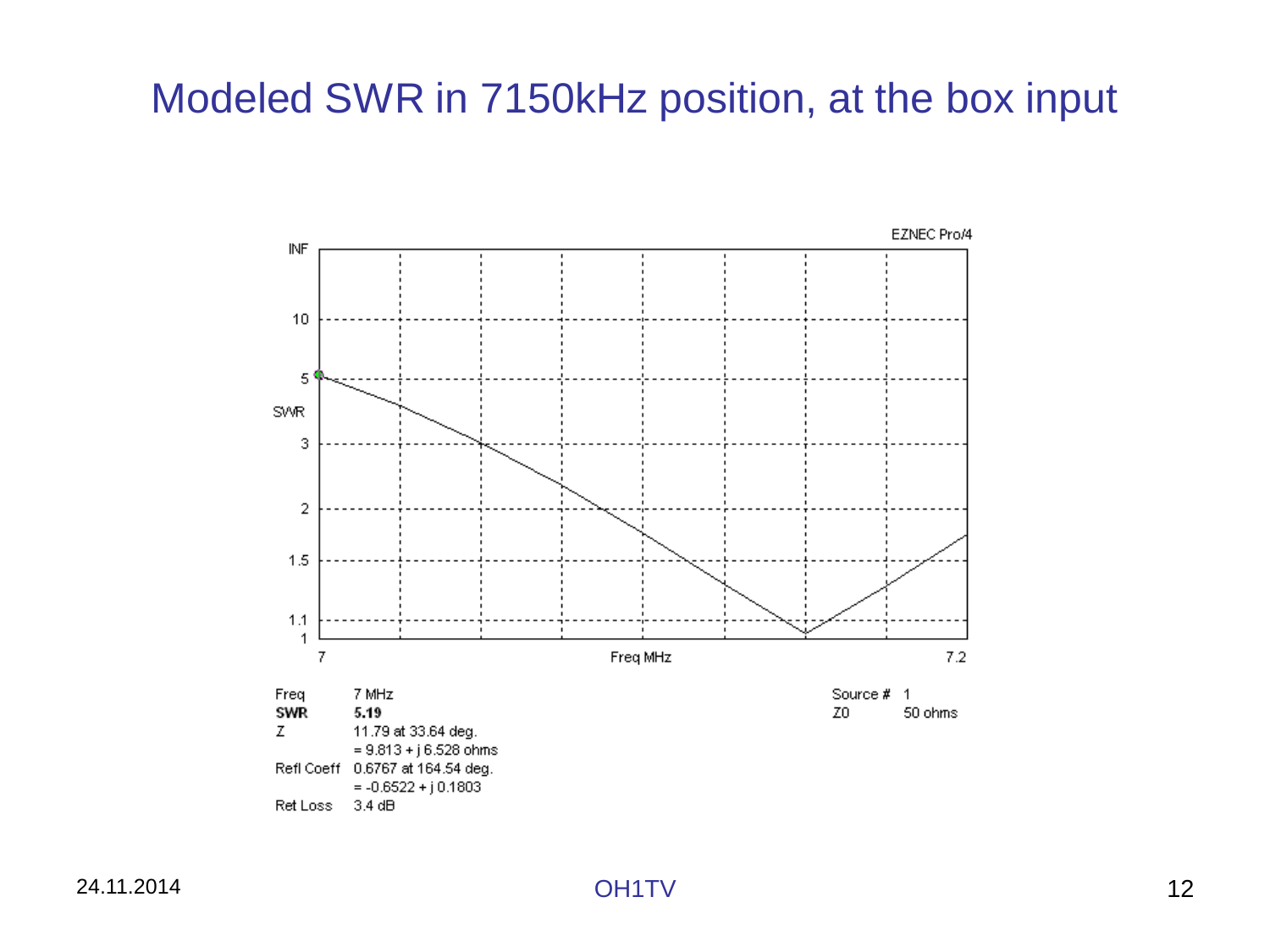## Modeled SWR in 7150kHz position, at the box input

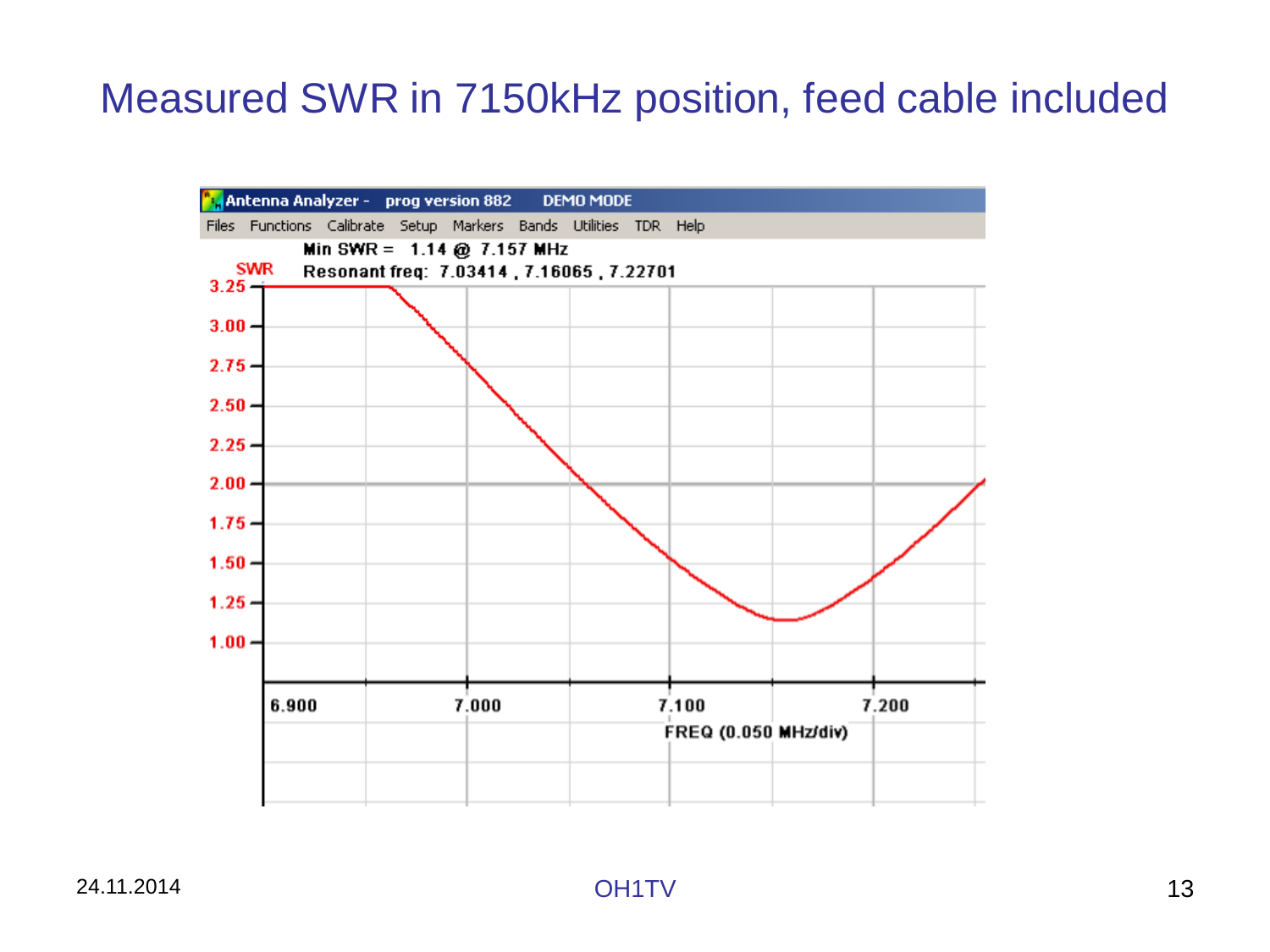## Measured SWR in 7150kHz position, feed cable included

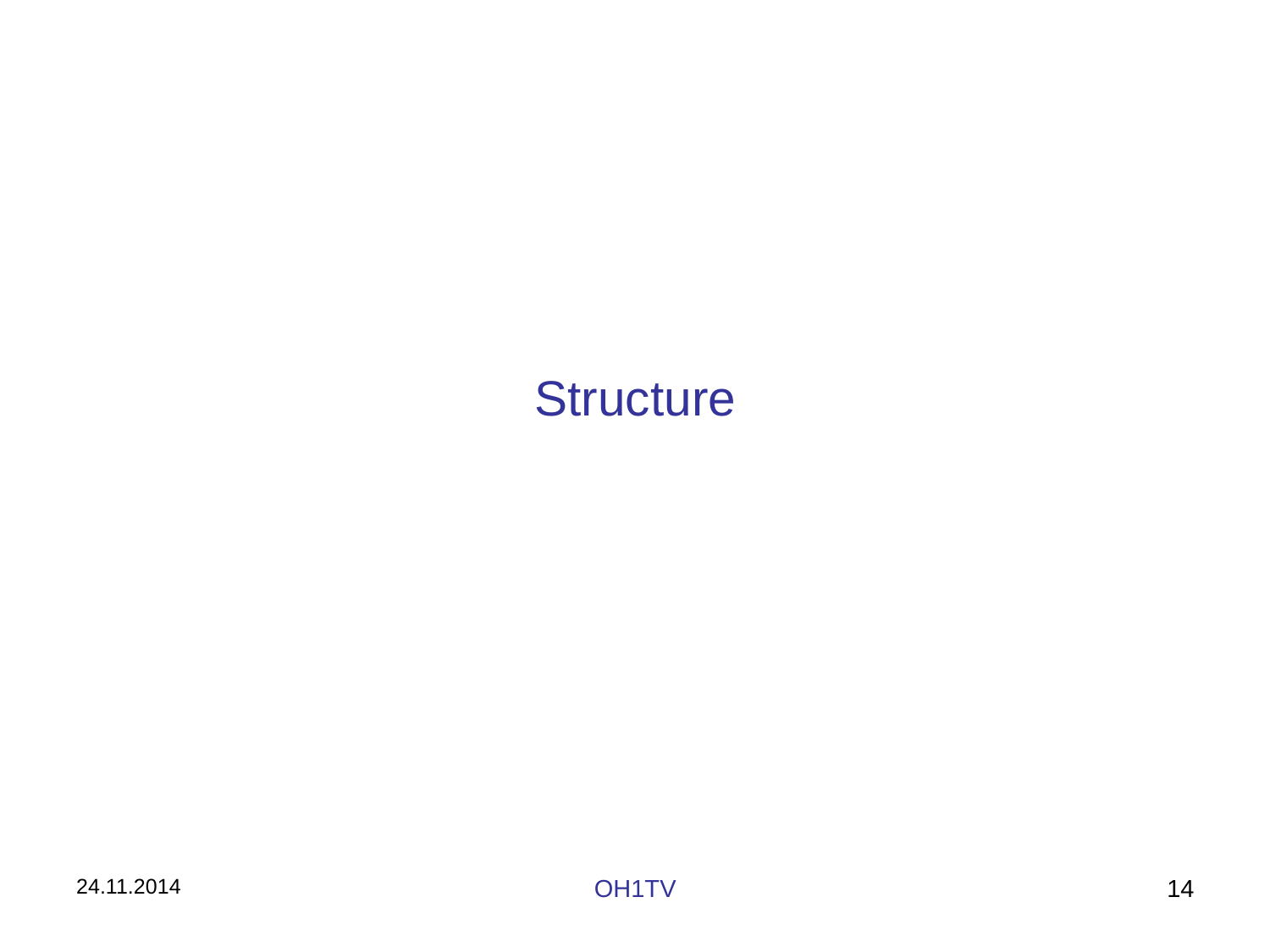## **Structure**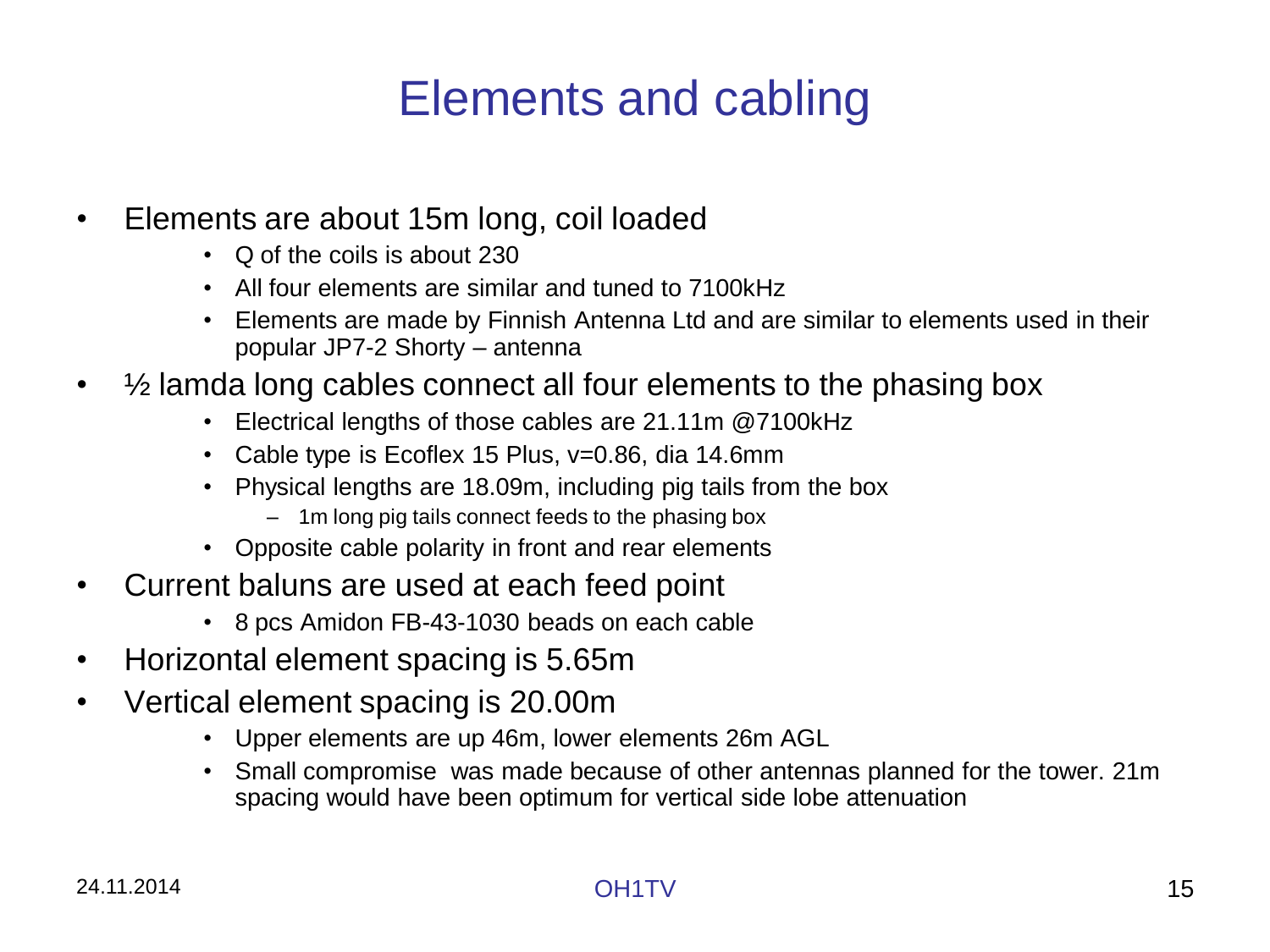# Elements and cabling

- Elements are about 15m long, coil loaded
	- Q of the coils is about 230
	- All four elements are similar and tuned to 7100kHz
	- Elements are made by Finnish Antenna Ltd and are similar to elements used in their popular JP7-2 Shorty – antenna
- 1/2 lamda long cables connect all four elements to the phasing box
	- Electrical lengths of those cables are 21.11m @7100kHz
	- Cable type is Ecoflex 15 Plus, v=0.86, dia 14.6mm
	- Physical lengths are 18.09m, including pig tails from the box
		- 1m long pig tails connect feeds to the phasing box
	- Opposite cable polarity in front and rear elements
- Current baluns are used at each feed point
	- 8 pcs Amidon FB-43-1030 beads on each cable
- Horizontal element spacing is 5.65m
- Vertical element spacing is 20.00m
	- Upper elements are up 46m, lower elements 26m AGL
	- Small compromise was made because of other antennas planned for the tower. 21m spacing would have been optimum for vertical side lobe attenuation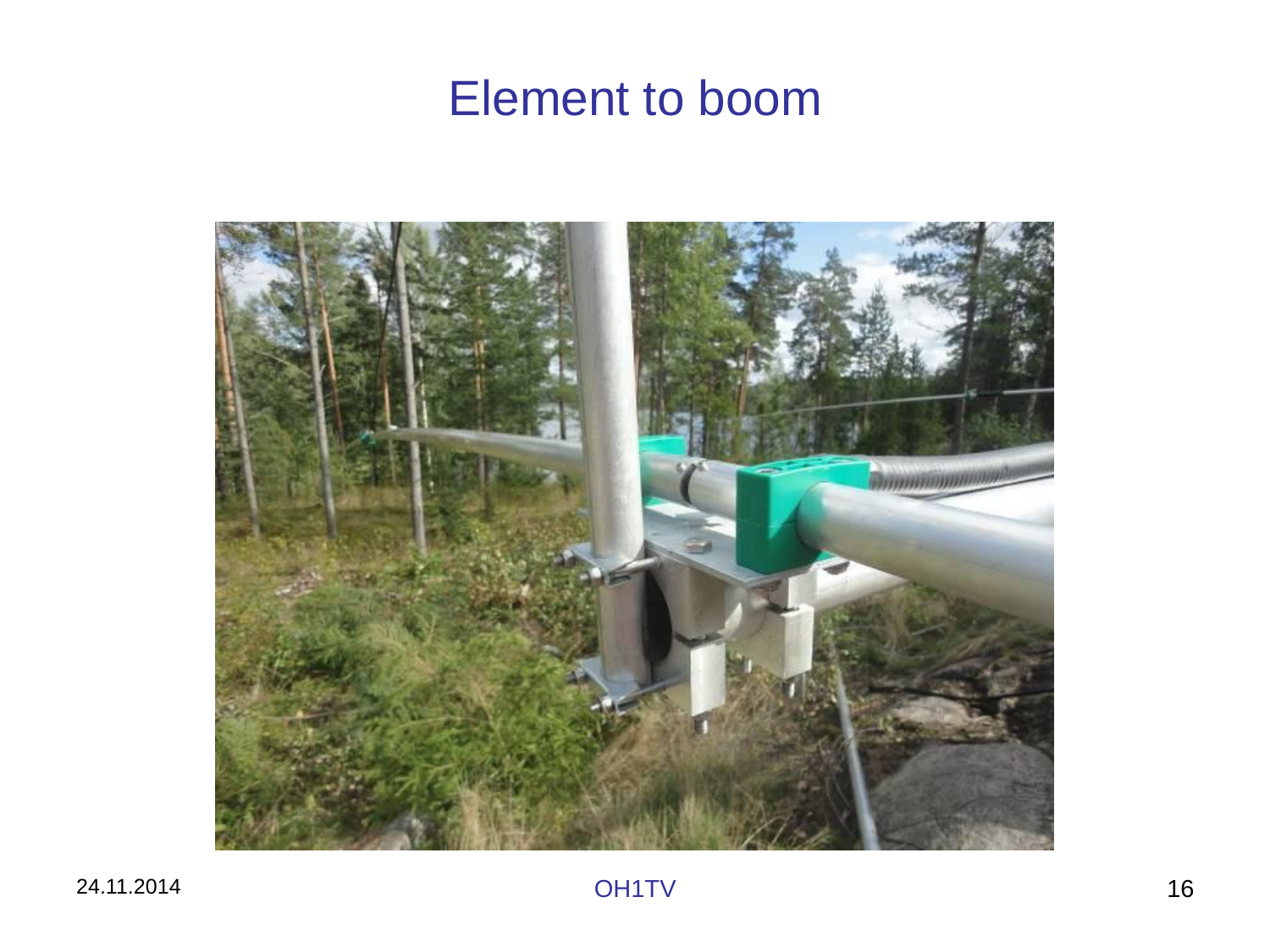## Element to boom

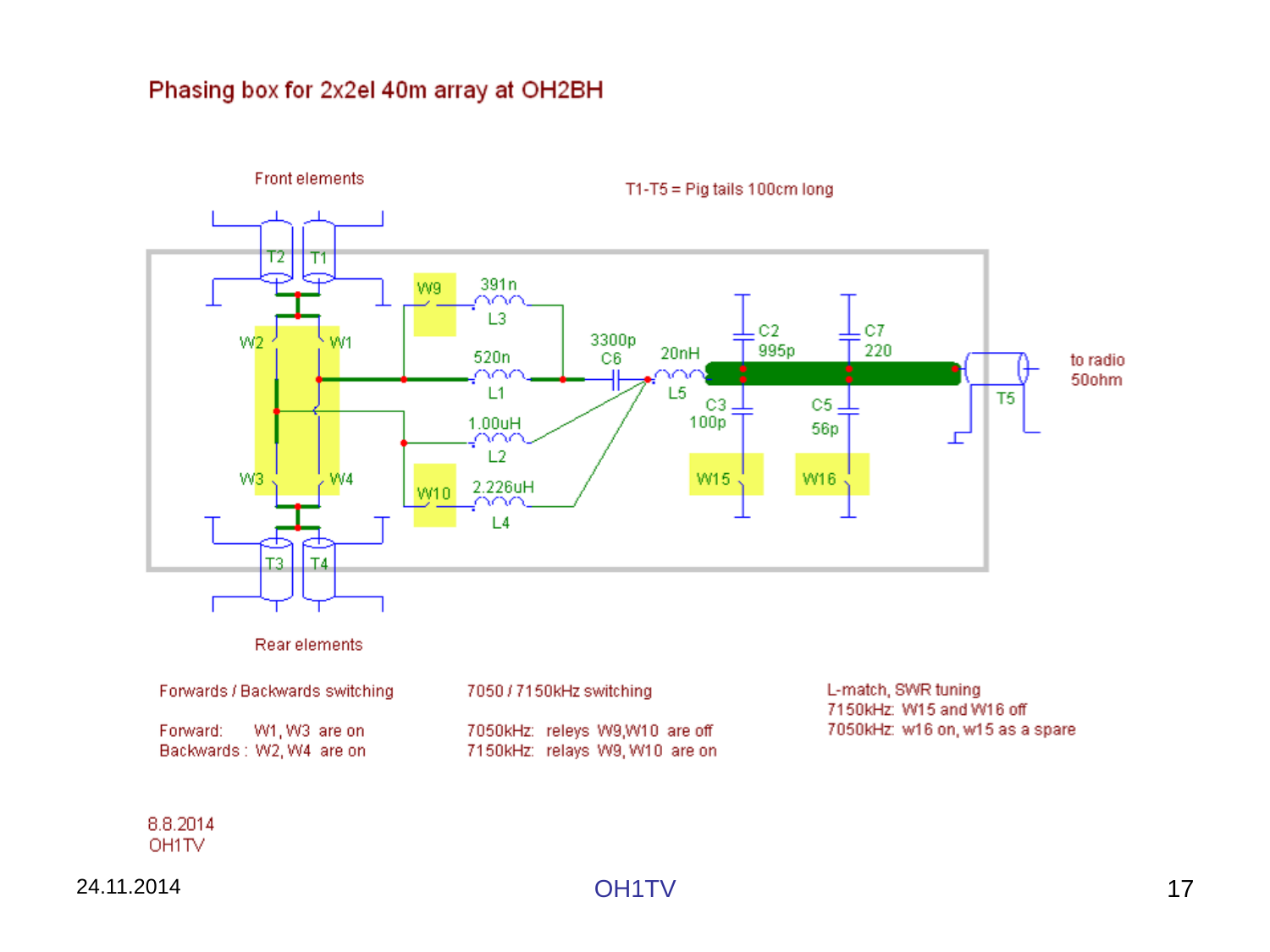#### Phasing box for 2x2el 40m array at OH2BH

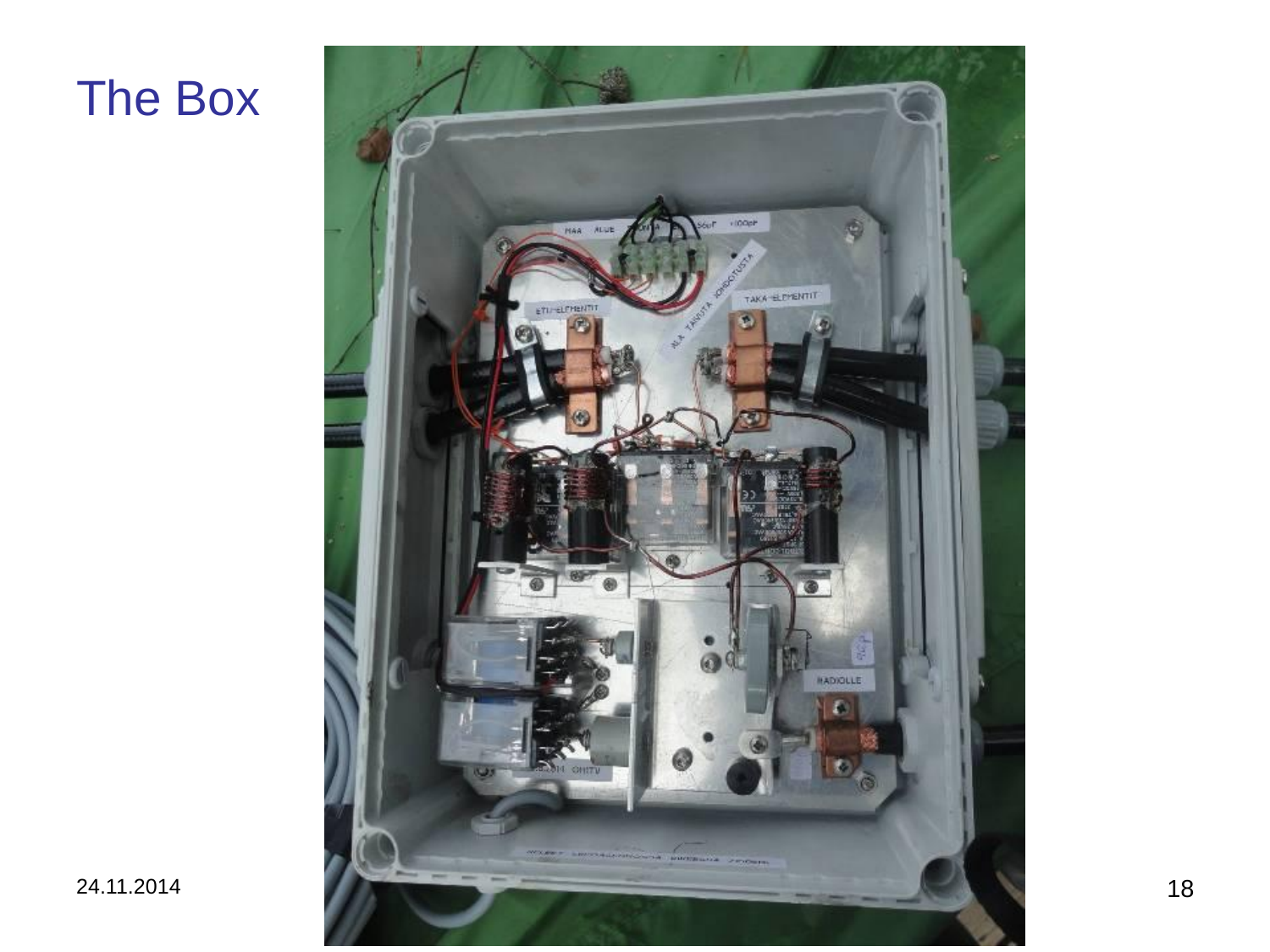## The Box

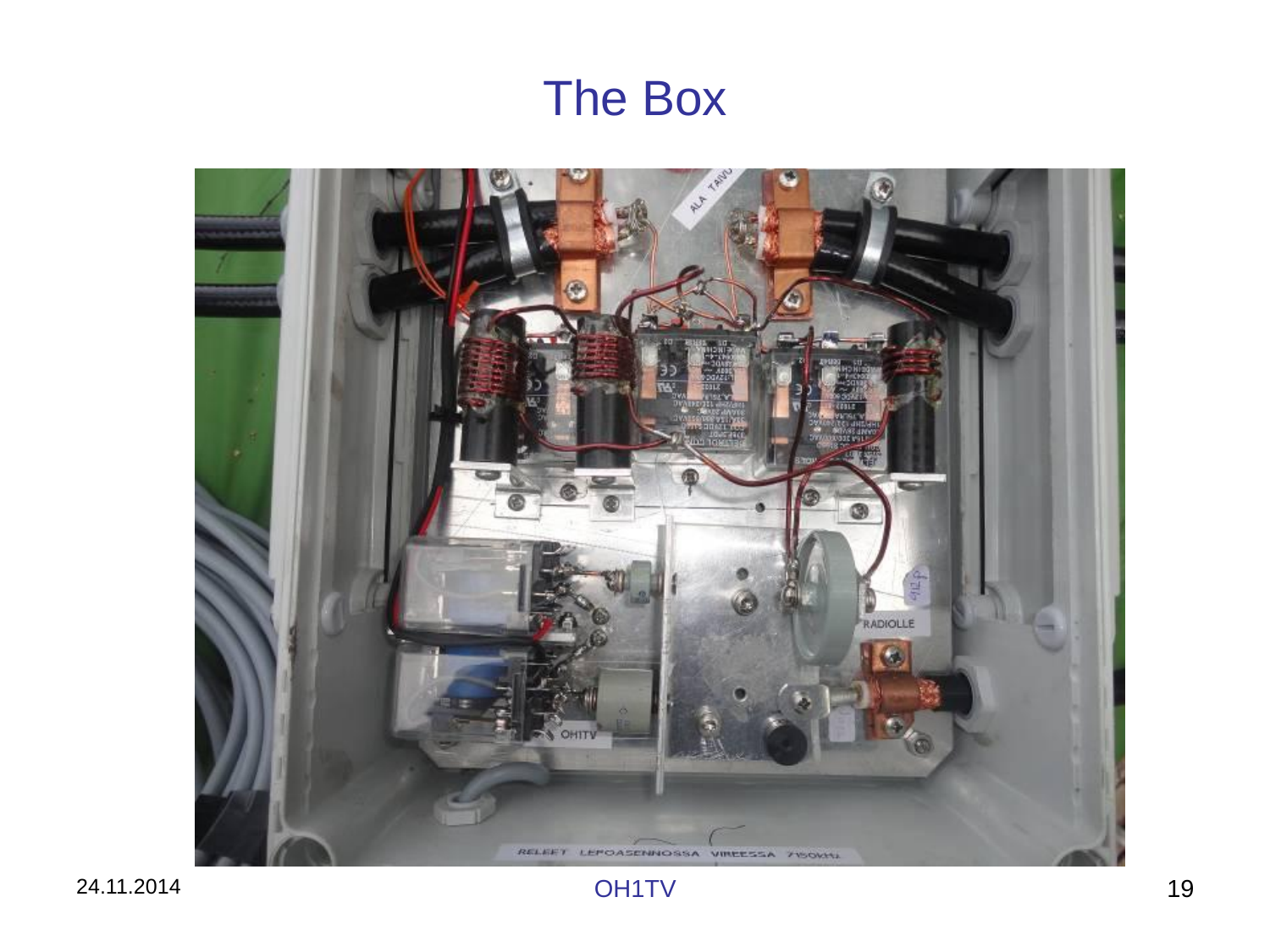## The Box



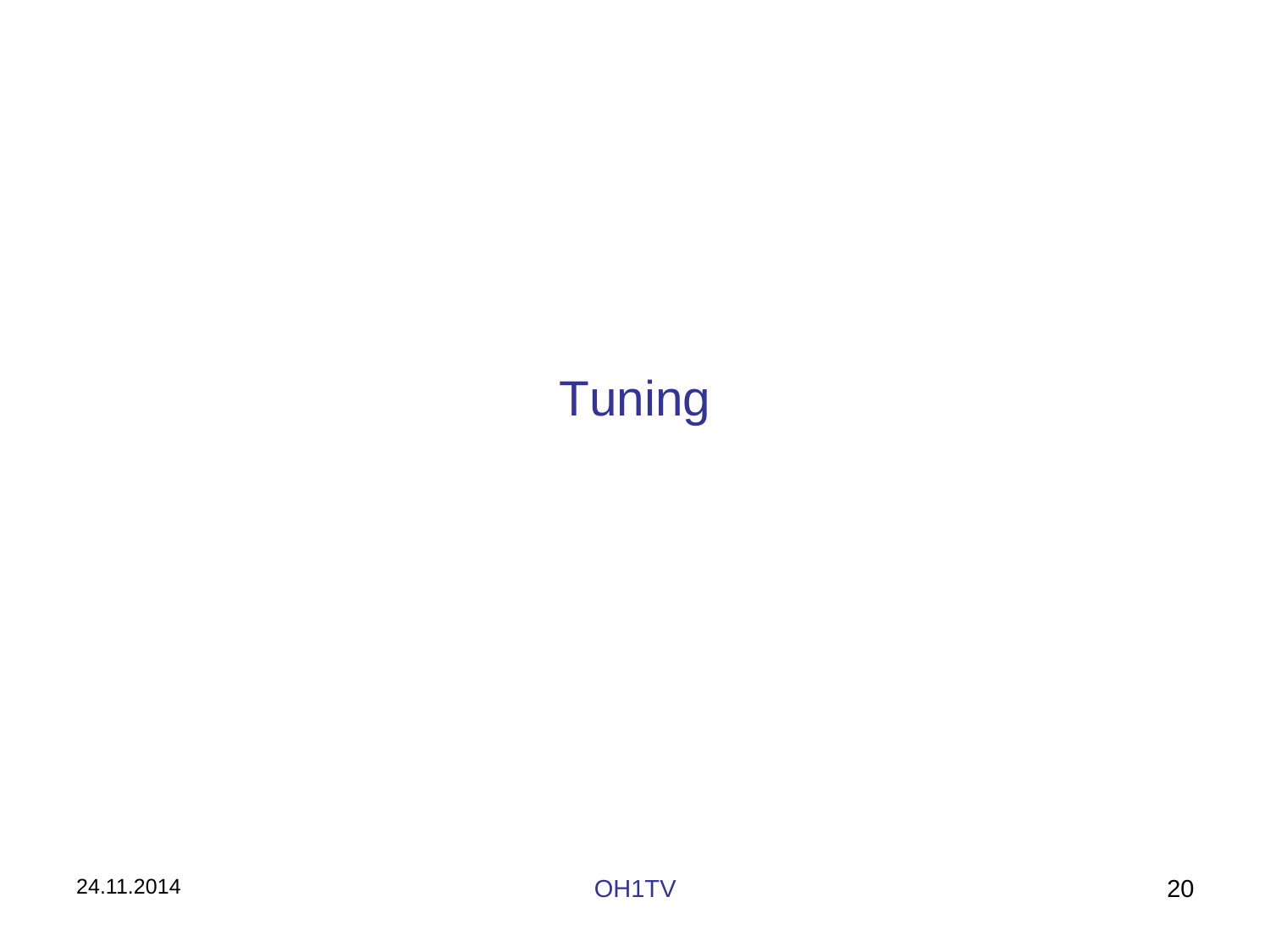# **Tuning**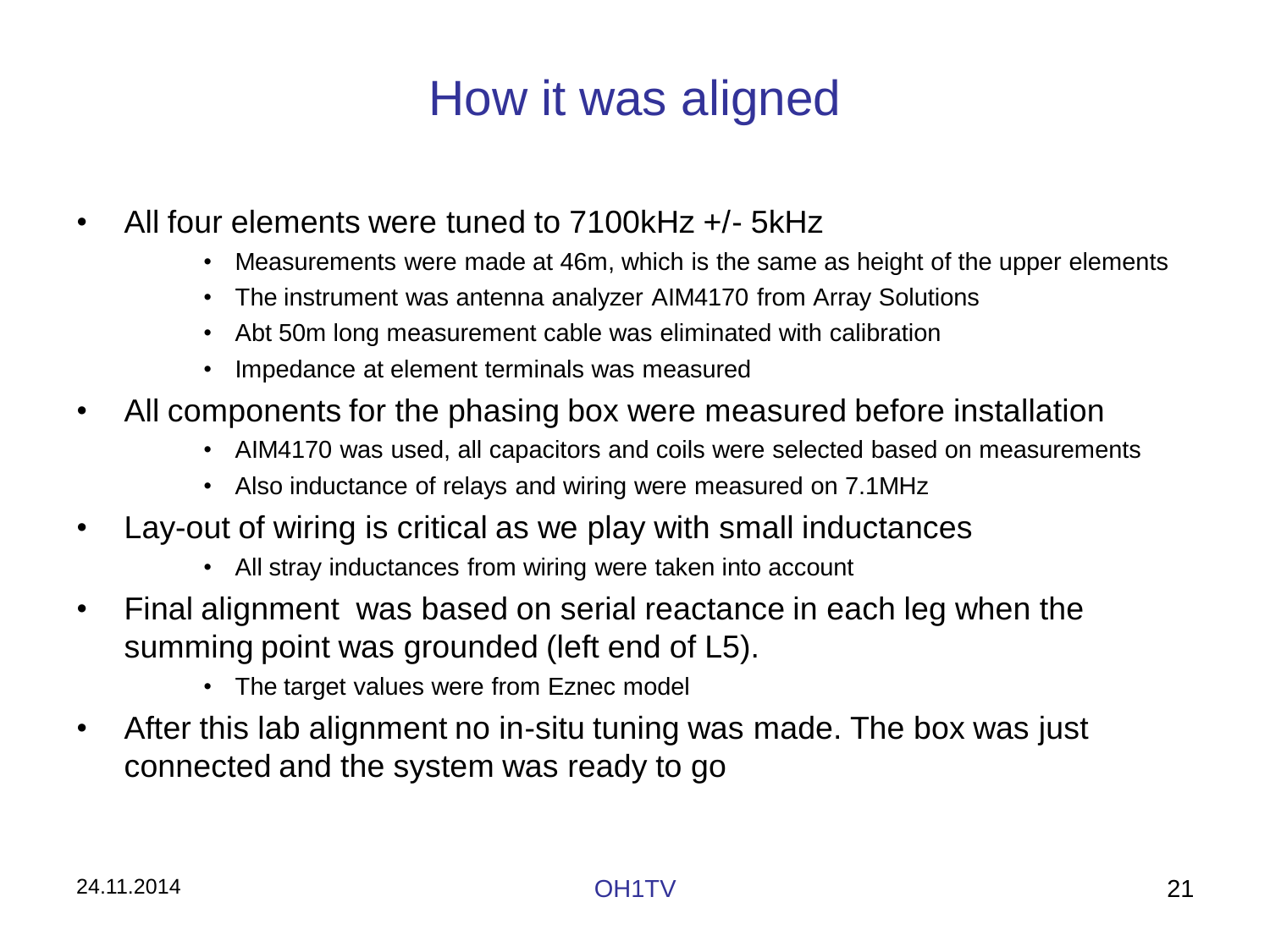# How it was aligned

- All four elements were tuned to 7100kHz +/- 5kHz
	- Measurements were made at 46m, which is the same as height of the upper elements
	- The instrument was antenna analyzer AIM4170 from Array Solutions
	- Abt 50m long measurement cable was eliminated with calibration
	- Impedance at element terminals was measured
- All components for the phasing box were measured before installation
	- AIM4170 was used, all capacitors and coils were selected based on measurements
	- Also inductance of relays and wiring were measured on 7.1MHz
- Lay-out of wiring is critical as we play with small inductances
	- All stray inductances from wiring were taken into account
- Final alignment was based on serial reactance in each leg when the summing point was grounded (left end of L5).
	- The target values were from Eznec model
- After this lab alignment no in-situ tuning was made. The box was just connected and the system was ready to go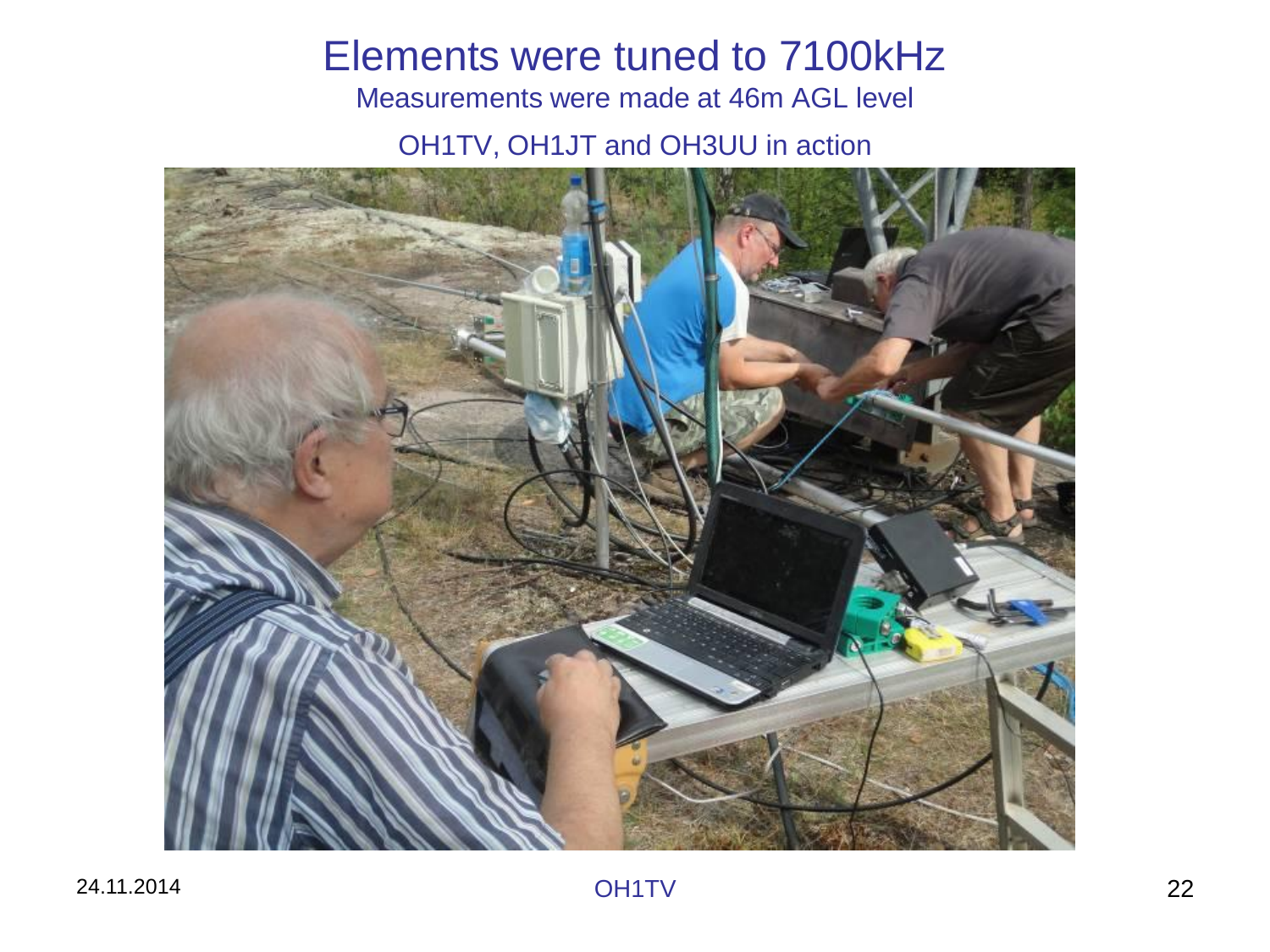## Elements were tuned to 7100kHz

Measurements were made at 46m AGL level

OH1TV, OH1JT and OH3UU in action

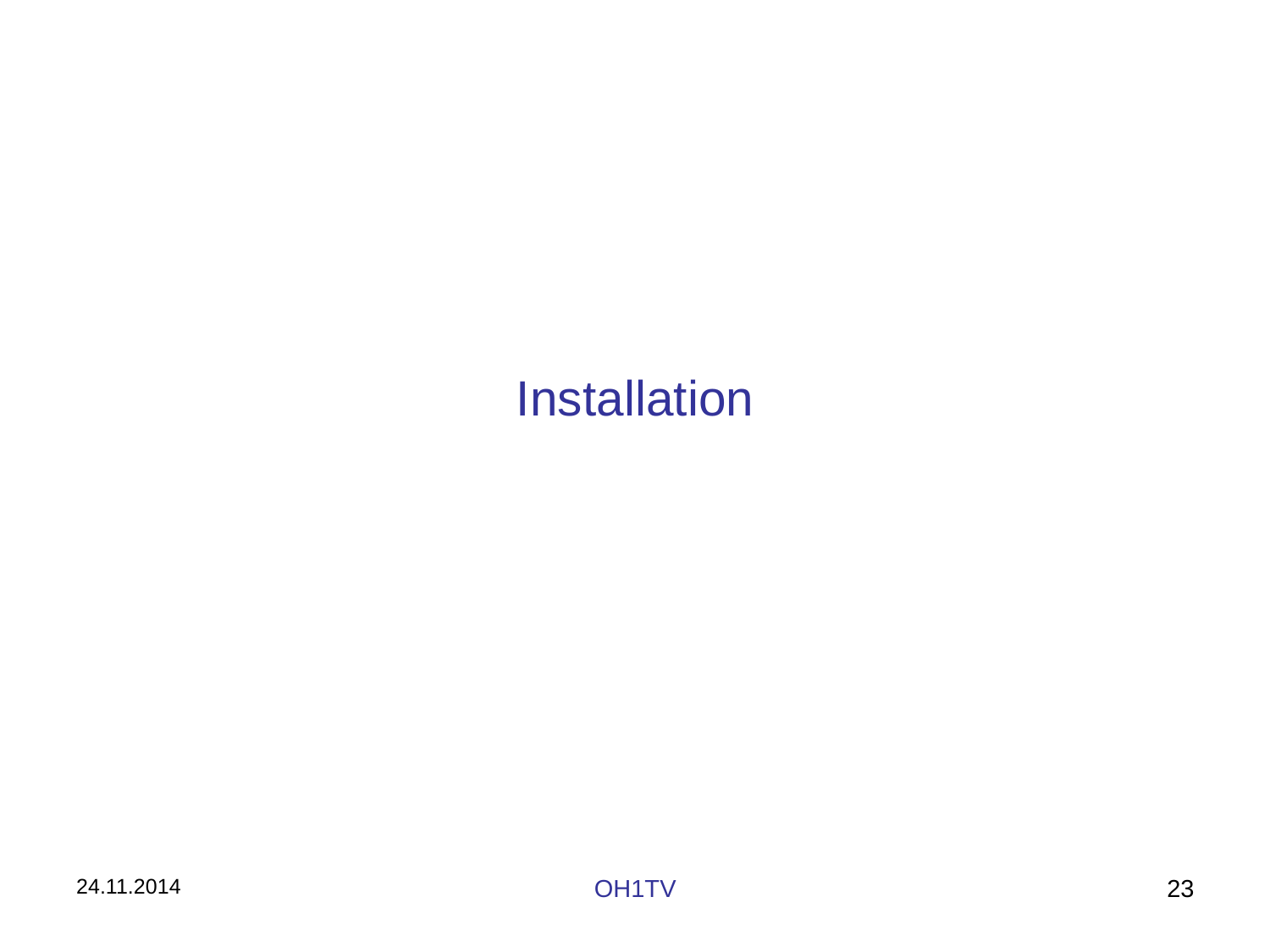## Installation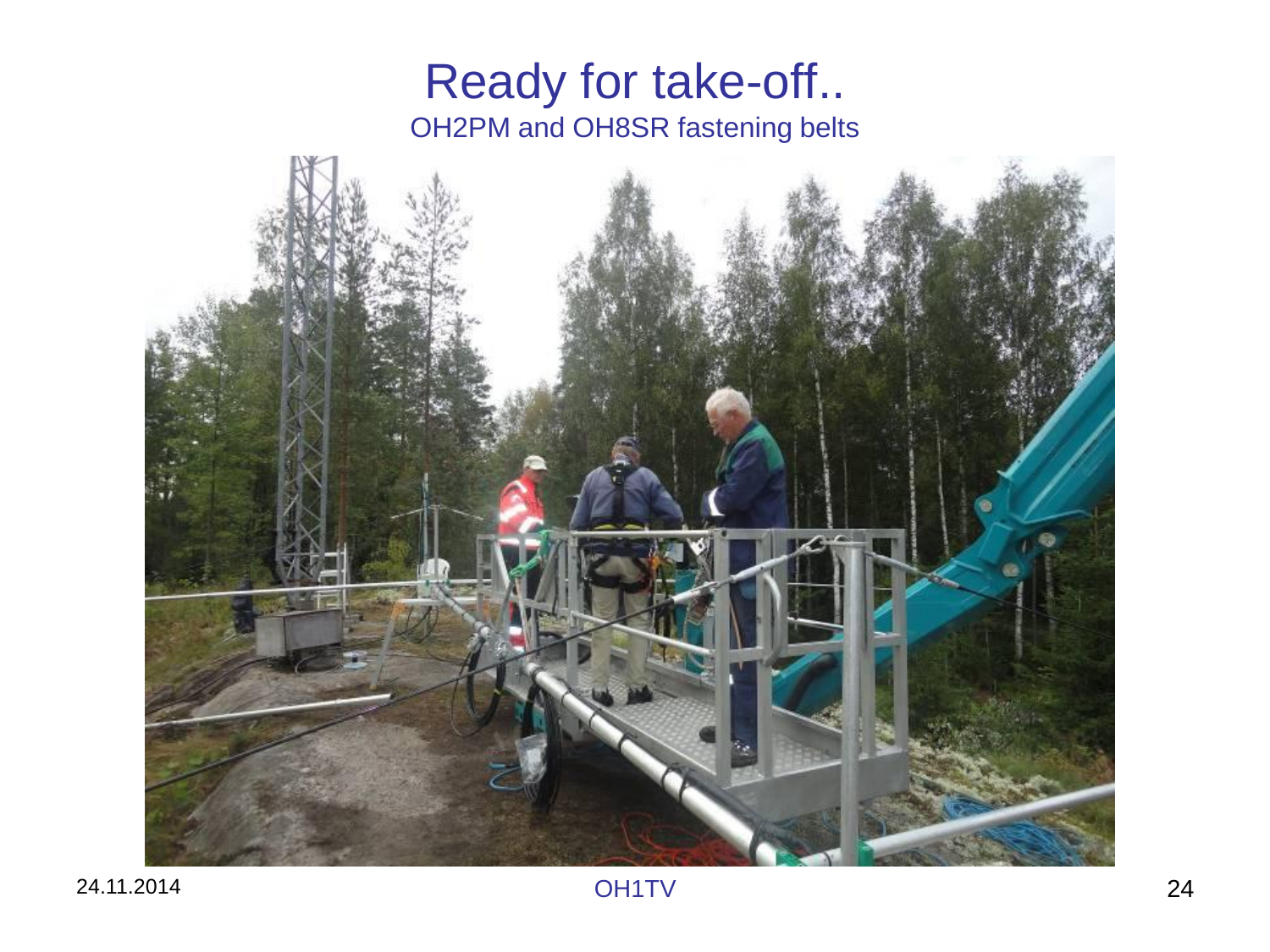### Ready for take-off.. OH2PM and OH8SR fastening belts

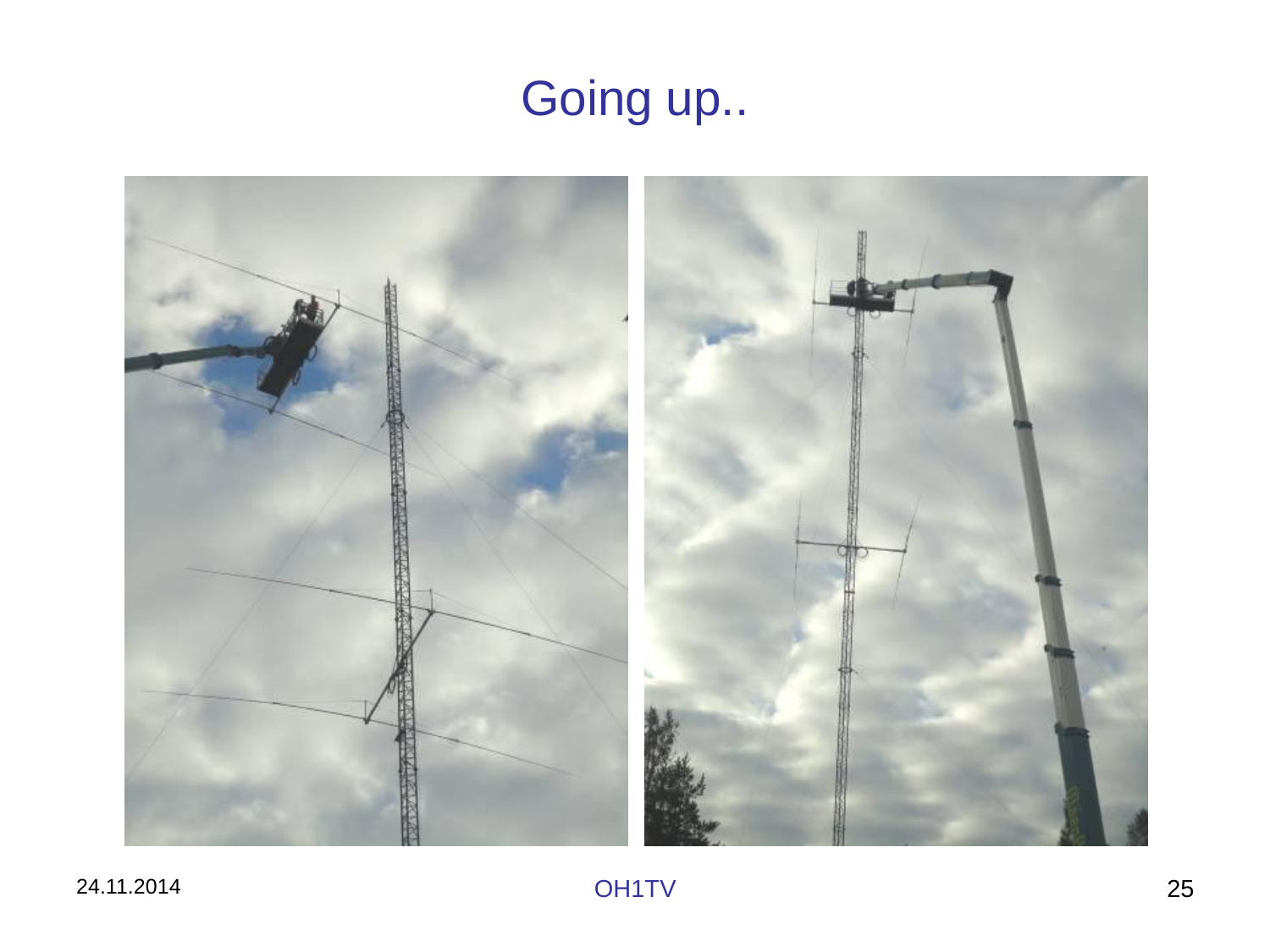# Going up..

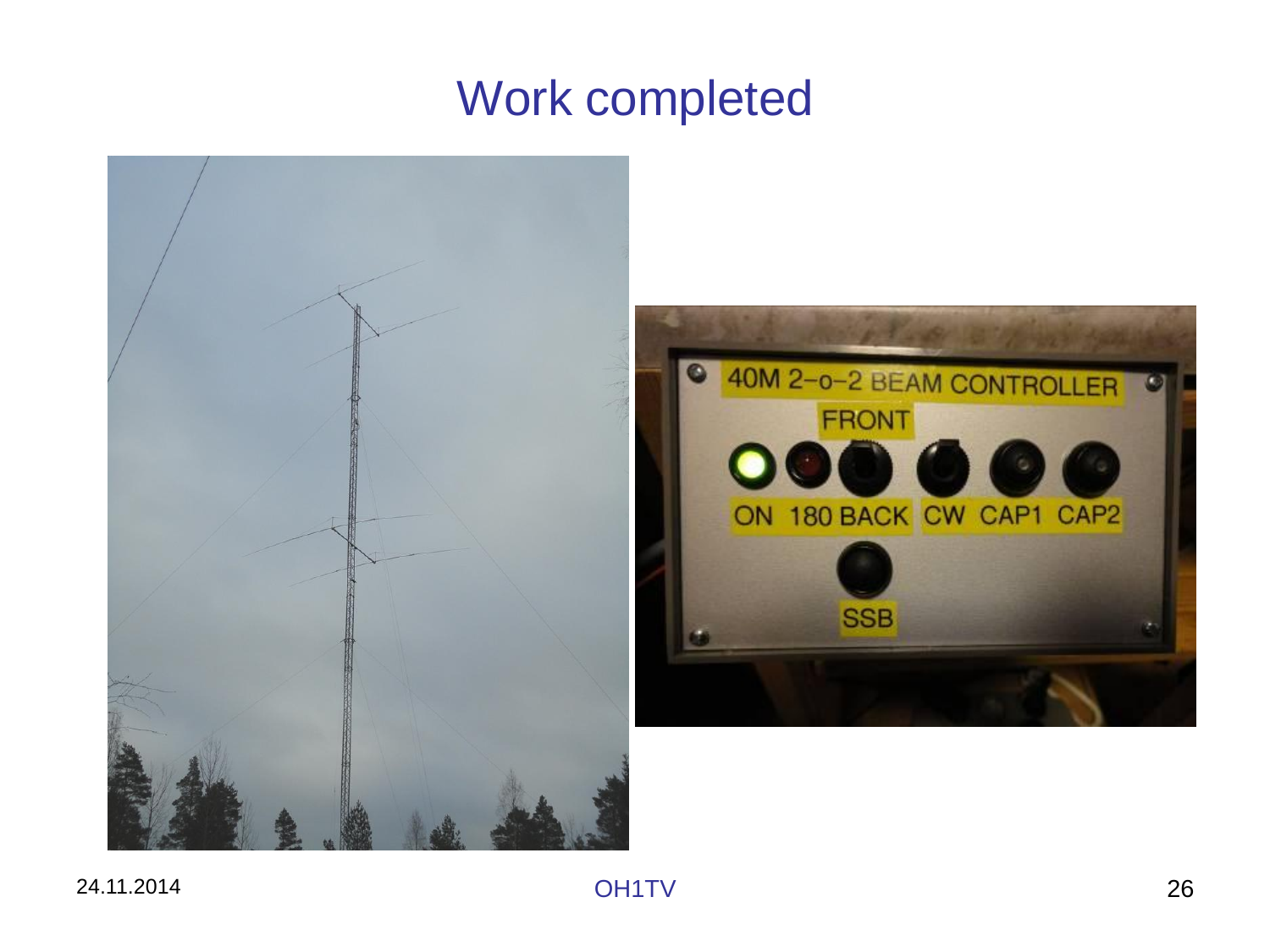## Work completed

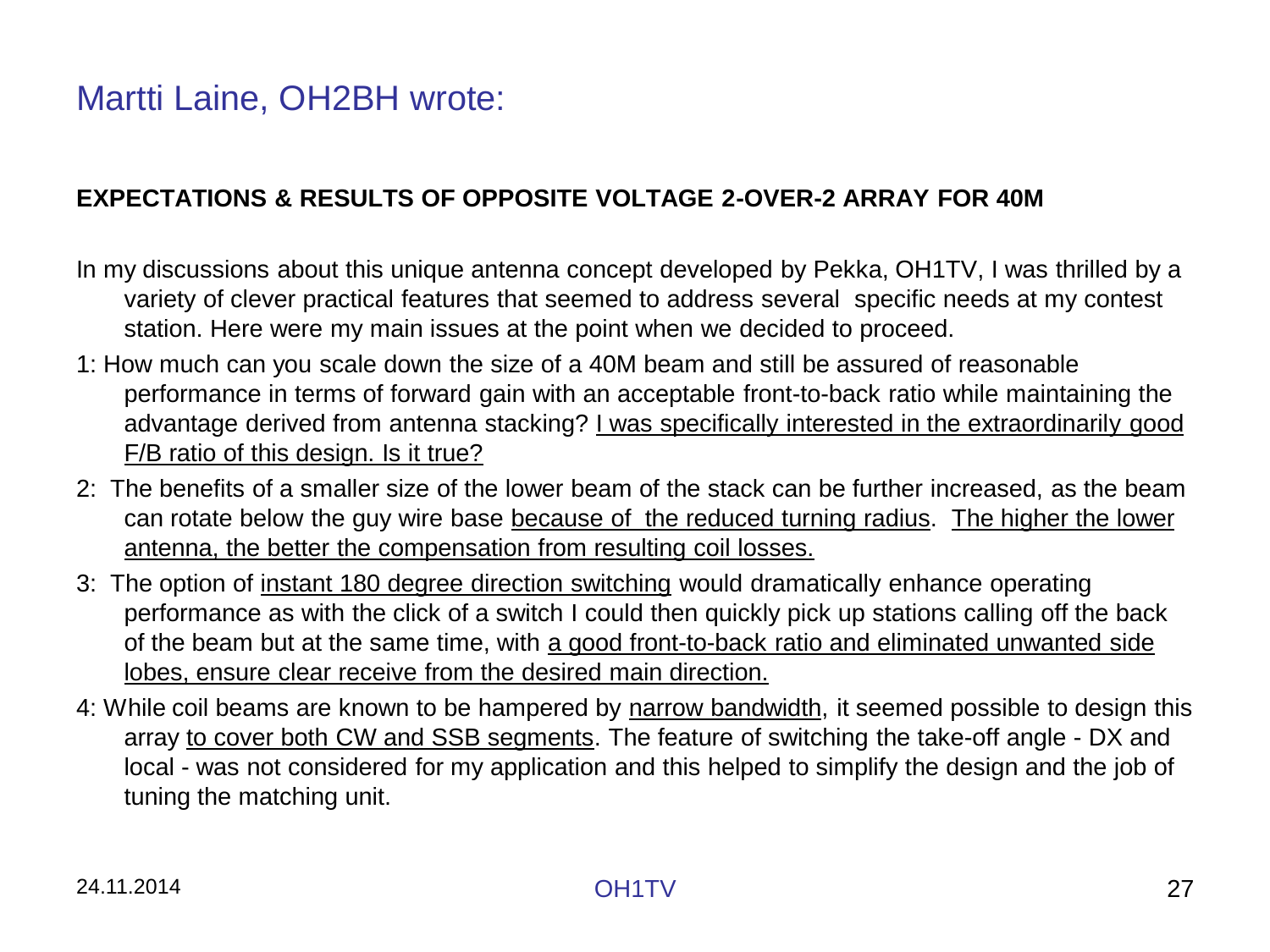### Martti Laine, OH2BH wrote:

#### **EXPECTATIONS & RESULTS OF OPPOSITE VOLTAGE 2-OVER-2 ARRAY FOR 40M**

- In my discussions about this unique antenna concept developed by Pekka, OH1TV, I was thrilled by a variety of clever practical features that seemed to address several specific needs at my contest station. Here were my main issues at the point when we decided to proceed.
- 1: How much can you scale down the size of a 40M beam and still be assured of reasonable performance in terms of forward gain with an acceptable front-to-back ratio while maintaining the advantage derived from antenna stacking? I was specifically interested in the extraordinarily good F/B ratio of this design. Is it true?
- 2: The benefits of a smaller size of the lower beam of the stack can be further increased, as the beam can rotate below the guy wire base because of the reduced turning radius. The higher the lower antenna, the better the compensation from resulting coil losses.
- 3: The option of instant 180 degree direction switching would dramatically enhance operating performance as with the click of a switch I could then quickly pick up stations calling off the back of the beam but at the same time, with a good front-to-back ratio and eliminated unwanted side lobes, ensure clear receive from the desired main direction.
- 4: While coil beams are known to be hampered by narrow bandwidth, it seemed possible to design this array to cover both CW and SSB segments. The feature of switching the take-off angle - DX and local - was not considered for my application and this helped to simplify the design and the job of tuning the matching unit.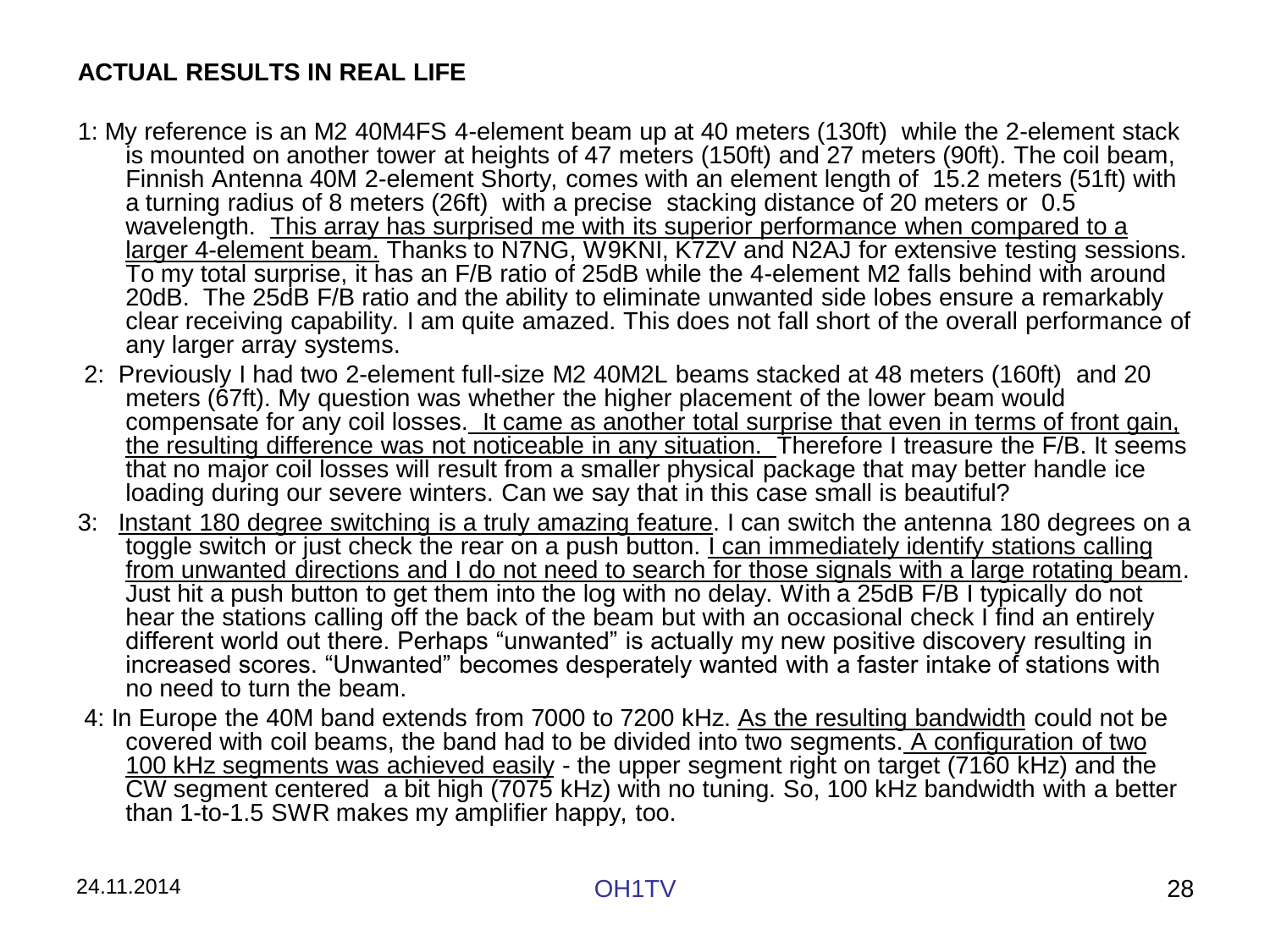### **ACTUAL RESULTS IN REAL LIFE**

- 1: My reference is an M2 40M4FS 4-element beam up at 40 meters (130ft) while the 2-element stack is mounted on another tower at heights of 47 meters (150ft) and 27 meters (90ft). The coil beam, Finnish Antenna 40M 2-element Shorty, comes with an element length of 15.2 meters (51ft) with a turning radius of 8 meters (26ft) with a precise stacking distance of 20 meters or 0.5 wavelength. This array has surprised me with its superior performance when compared to a larger 4-element beam. Thanks to N7NG, W9KNI, K7ZV and N2AJ for extensive testing sessions. To my total surprise, it has an F/B ratio of 25dB while the 4-element M2 falls behind with around 20dB. The 25dB F/B ratio and the ability to eliminate unwanted side lobes ensure a remarkably clear receiving capability. I am quite amazed. This does not fall short of the overall performance of any larger array systems.
- 2: Previously I had two 2-element full-size M2 40M2L beams stacked at 48 meters (160ft) and 20 meters (67ft). My question was whether the higher placement of the lower beam would compensate for any coil losses. It came as another total surprise that even in terms of front gain, the resulting difference was not noticeable in any situation. Therefore I treasure the F/B. It seems that no major coil losses will result from a smaller physical package that may better handle ice loading during our severe winters. Can we say that in this case small is beautiful?
- 3: Instant 180 degree switching is a truly amazing feature. I can switch the antenna 180 degrees on a toggle switch or just check the rear on a push button. I can immediately identify stations calling from unwanted directions and I do not need to search for those signals with a large rotating beam. Just hit a push button to get them into the log with no delay. With a 25dB F/B I typically do not hear the stations calling off the back of the beam but with an occasional check I find an entirely different world out there. Perhaps "unwanted" is actually my new positive discovery resulting in increased scores. "Unwanted" becomes desperately wanted with a faster intake of stations with no need to turn the beam.
- 4: In Europe the 40M band extends from 7000 to 7200 kHz. As the resulting bandwidth could not be covered with coil beams, the band had to be divided into two segments. A configuration of two 100 kHz segments was achieved easily - the upper segment right on target (7160 kHz) and the CW segment centered a bit high (7075 kHz) with no tuning. So, 100 kHz bandwidth with a better than 1-to-1.5 SWR makes my amplifier happy, too.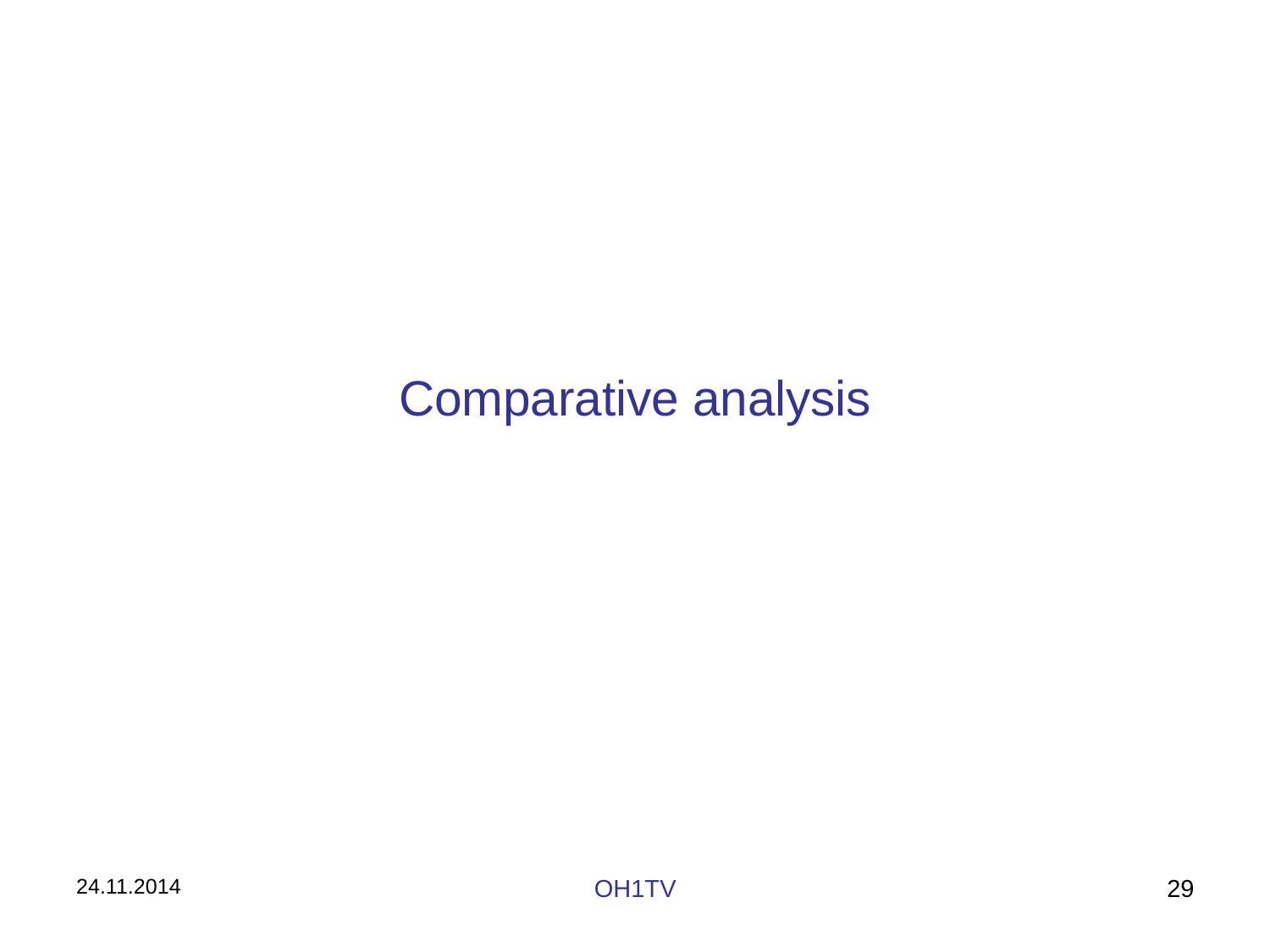## Comparative analysis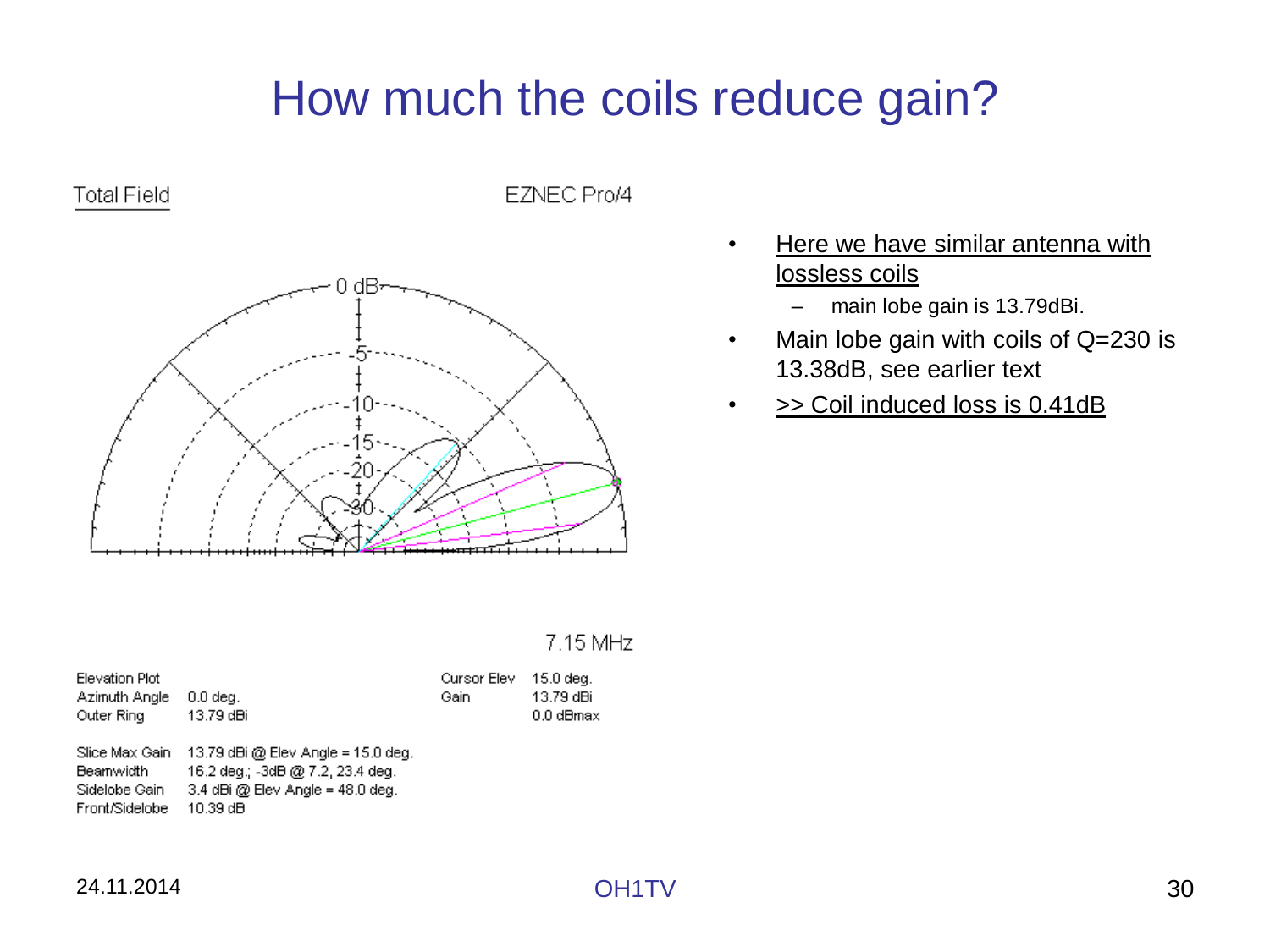## How much the coils reduce gain?



EZNEC Pro/4



- Here we have similar antenna with lossless coils
	- main lobe gain is 13.79dBi.
- Main lobe gain with coils of Q=230 is 13.38dB, see earlier text
- >> Coil induced loss is 0.41dB

#### 7.15 MHz

| <b>Elevation Plot</b><br>Azimuth Angle<br>Outer Ring           | $0.0$ dea.<br>13.79 dBi                                                                                                    | Cursor Elev<br>Gain | 15.0 deg.<br>13.79 dBi<br>0.0 dBmax |
|----------------------------------------------------------------|----------------------------------------------------------------------------------------------------------------------------|---------------------|-------------------------------------|
| Slice Max Gain<br>Beamwidth<br>Sidelobe Gain<br>Front/Sidelobe | $13.79$ dBi @ Elev Angle = 15.0 deg.<br>16.2 deg.; -3dB @ 7.2, 23.4 deg.<br>3.4 dBi @ Elev Angle = $48.0$ deg.<br>10.39 dB |                     |                                     |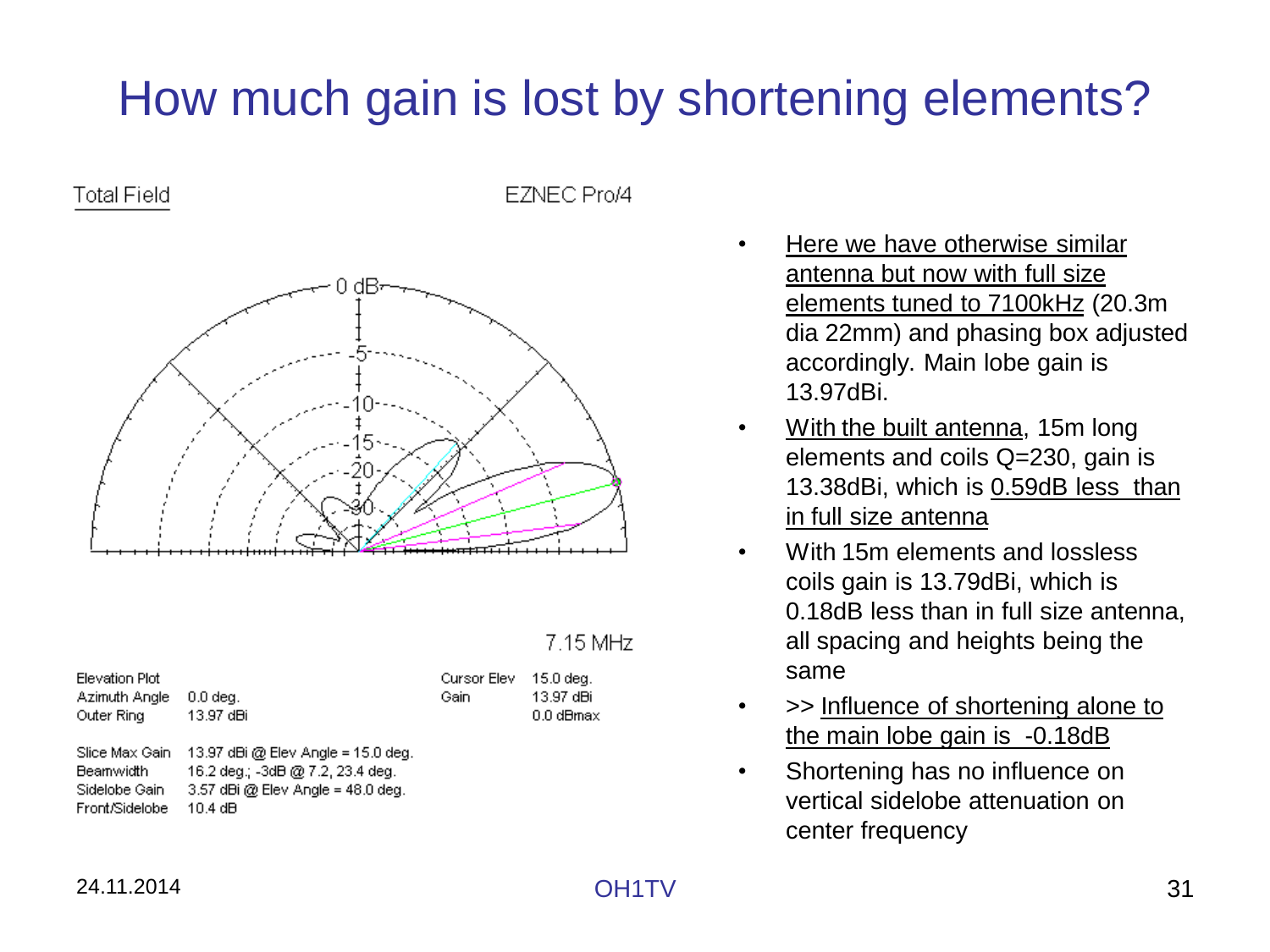## How much gain is lost by shortening elements?

**Total Field** 

FZNEC Pro/4



#### 7.15 MHz

| Elevation Plot<br>Azimuth Angle<br>Outer Ring                  | $0.0$ dea.<br>13.97 dBi                                                                                                    | Cursor Elev<br>Gain | 15.0 deg.<br>13.97 dBi<br>0.0 dBmax |
|----------------------------------------------------------------|----------------------------------------------------------------------------------------------------------------------------|---------------------|-------------------------------------|
| Slice Max Gain<br>Beamwidth<br>Sidelobe Gain<br>Front/Sidelobe | 13.97 dBi @ Elev Angle = $15.0$ deg.<br>16.2 deg.; -3dB @ 7.2, 23.4 deg.<br>$3.57$ dBi @ Elev Angle = 48.0 deg.<br>10.4 dB |                     |                                     |

- Here we have otherwise similar antenna but now with full size elements tuned to 7100kHz (20.3m dia 22mm) and phasing box adjusted accordingly. Main lobe gain is 13.97dBi.
- With the built antenna, 15m long elements and coils Q=230, gain is 13.38dBi, which is 0.59dB less than in full size antenna
- With 15m elements and lossless coils gain is 13.79dBi, which is 0.18dB less than in full size antenna, all spacing and heights being the same
- >> Influence of shortening alone to the main lobe gain is -0.18dB
- Shortening has no influence on vertical sidelobe attenuation on center frequency